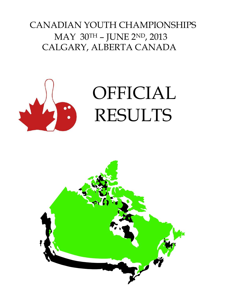# CANADIAN YOUTH CHAMPIONSHIPS MAY 30TH – JUNE 2ND, 2013 CALGARY, ALBERTA CANADA



# OFFICIAL RESULTS

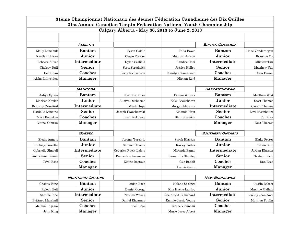|                          |                         |                       | 31ème Championnat Nationaux des Jeunes Fédération Canadienne des Dix Quilles |                         |                     |
|--------------------------|-------------------------|-----------------------|------------------------------------------------------------------------------|-------------------------|---------------------|
|                          |                         |                       | 31st Annual Canadian Tenpin Federation National Youth Championship           |                         |                     |
|                          |                         |                       | Calgary Alberta - May 30, 2013 to June 2, 2013                               |                         |                     |
|                          |                         |                       |                                                                              |                         |                     |
|                          |                         |                       |                                                                              |                         |                     |
|                          | ALBERTA                 |                       |                                                                              | <b>BRITISH COLUMBIA</b> |                     |
| Molly Nimchuk            | <b>Bantam</b>           | Tyson Goldie          | Talia Boyce                                                                  | <b>Bantam</b>           | Isaac Vanderaegen   |
| Kaytlynn Insko           | Junior                  | Chase Fockler         | Madison Jensen                                                               | Junior                  | Brandon On          |
| Rebecca Silver           | Intermediate            | Dylan Scofield        | Candice Choi                                                                 | Intermediate            | Allistair Tan       |
| Chelsey Duff             | Senior                  | Scott Strudwick       | Jessica Holley                                                               | Senior                  | Matthew Yue         |
| Deb Chan                 | Coaches                 | Jerry Richardson      | Kandyce Yamamoto                                                             | Coaches                 | Clem Fraser         |
| Aicha Lillivolden        | <b>Manager</b>          |                       | Miriam Reid                                                                  | <b>Manager</b>          |                     |
|                          |                         |                       |                                                                              |                         |                     |
|                          | <b>MANITOBA</b>         |                       |                                                                              | <b>SASKATCHEWAN</b>     |                     |
| Aaliya Sylvia            | <b>Bantam</b>           | Evan Gauthier         | <b>Brooke Willock</b>                                                        | <b>Bantam</b>           | Matthew Wist        |
| Marissa Naylor           | Junior                  | Austyn Ducharme       | Kelsi Beauchamp                                                              | Junior                  | Scott Thomas        |
| Brittany Crawford        | Intermediate            | Mitch Hupe            | Morgan Materna                                                               | Intermediate            | Carson Therres      |
| Danielle Lemoine         | Senior                  | Joseph Franchewski    | Amanda Hoyt                                                                  | Senior                  | Levi Rosenbaum      |
| Mike Boroskae            | Coaches                 | Brian Kokolsky        | <b>Blair Stadnick</b>                                                        | Coaches                 | TJ Bilan            |
| Elaine Yamron            | <b>Manager</b>          |                       |                                                                              | <b>Manager</b>          | Kurt Therres        |
|                          |                         |                       |                                                                              |                         |                     |
|                          | <b>QUÉBEC</b>           |                       |                                                                              | <b>SOUTHERN ONTARIO</b> |                     |
| Elodie Annett            | <b>Bantam</b>           | Jeremy Turcotte       | Sarah Klassen                                                                | <b>Bantam</b>           | <b>Blake Foster</b> |
| <b>Brittney Turcotte</b> | Junior                  | Samuel Demers         | Karley Foster                                                                | Junior                  | Gavin Sum           |
| Gabrielle Simboli        | Intermediate            | Cederick Ruest-Lajoie | Miranda Panas                                                                | Intermediate            | Jordan Klassen      |
| Andréanne Blouin         | Senior                  | Pierre-Luc Arseneau   | Samantha Shonley                                                             | Senior                  | Graham Fach         |
| Tryel Rose               | Coaches                 | Elaine Dastous        | Gus Badali                                                                   | Coaches                 | Dan Rose            |
|                          | <b>Manager</b>          |                       | Laurie Gatto                                                                 | <b>Manager</b>          |                     |
|                          |                         |                       |                                                                              |                         |                     |
|                          | <b>NORTHERN ONTARIO</b> |                       |                                                                              | <b>NEW BRUNSWICK</b>    |                     |
| Chasity King             | <b>Bantam</b>           | Aidan Bass            | Helene St-Onge                                                               | <b>Bantam</b>           | Justin Robert       |
| Ryleah Bell              | Junior                  | Daniel George         | Kim Hache-Landry                                                             | Junior                  | Maxime Mallais      |
| Shaune Pine              | Intermediate            | Nathan Woods          | Zoe Albert-Blanchard                                                         | Intermediate            | Jeremy Jean-Noel    |
| Brittney Marshall        | Senior                  | Daniel Rheaume        | Emmie-Jessie Young                                                           | Senior                  | Mathieu Paulin      |
| Melanie Ingram           | Coaches                 | Tim Bass              | Elaine Vienneau                                                              | Coaches                 |                     |
| John King                | <b>Manager</b>          |                       | Marie-Josee Albert                                                           | <b>Manager</b>          |                     |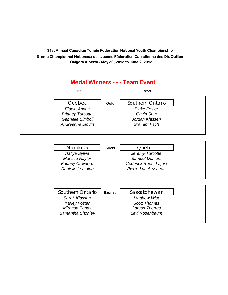## **Medal Winners - - - Team Event** Girls Boys Québec **Gold** Southern Ontario **Elodie Annett** Blake Foster *Brittney Turcotte Gavin Sum Gabrielle Simboli Jordan Klassen Andréanne Blouin Graham Fach* Manitoba **Silver Québec** *Aaliya Sylvia Jeremy Turcotte Marissa Naylor* Samuel Demers *Brittany Crawford Cederick Ruest-Lajoie Danielle Lemoine Pierre-Luc Arseneau* Southern Ontario | **Bronze** | Saskatchewan *Sarah Klassen Matthew Wist* **Karley Foster Scott Thomas** *Miranda Panas Carson Therres Samantha Shonley Levi Rosenbaum*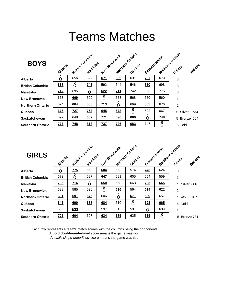# Teams Matches

| <b>BOYS</b>             | Alloerte   | British Columbia | Manitoba   | New Brunswick     |            | Northern Ontario<br>Quebec | Saskatchewan |            | Southern Ontario<br>Rotloffe<br>Points |  |
|-------------------------|------------|------------------|------------|-------------------|------------|----------------------------|--------------|------------|----------------------------------------|--|
| Alberta                 |            | 656              | 599        | 671               | 663        | 631                        | <b>707</b>   | 679        | 3                                      |  |
| <b>British Columbia</b> | 668        |                  | <b>743</b> | 592               | 644        | 546                        | 650          | 698        | 3                                      |  |
| Manitoba                | 712        | 695              |            | 622               | 711        | 742                        | 666          | 775        | 3                                      |  |
| <b>New Brunswick</b>    | 658        | 669              | 590        |                   | 578        | 568                        | 650          | 560        | 1                                      |  |
| <b>Northern Ontario</b> | 624        | 664              | 680        | $\underline{713}$ |            | 669                        | 653          | 676        | $\overline{2}$                         |  |
| Québec                  | 676        | <u>727</u>       | Z53        | 645               | 678        |                            | 622          | 667        | Silver<br>5<br>734                     |  |
| Saskatchewan            | 697        | 648              | 667        | <b>ZZ1</b>        | 696        | 666                        |              | <u>748</u> | 5 Bronze 664                           |  |
| <b>Southern Ontario</b> | <u>777</u> | <b>748</b>       | 818        | <b>737</b>        | <b>726</b> | 683                        | 747          |            | 6 Gold                                 |  |

| <b>GIRLS</b>            | Alberta    |            | British Columbia<br>Manitoba | New Brunswick |     | Northern Ontario<br>Quebec | Saskatchewan |     | Southern Ontario<br>Rolloffs<br>Points |
|-------------------------|------------|------------|------------------------------|---------------|-----|----------------------------|--------------|-----|----------------------------------------|
| Alberta                 |            | <b>ZZ5</b> | 662                          | 684           | 653 | 574                        | <b>743</b>   | 624 | 3                                      |
| <b>British Columbia</b> | 673        |            | 697                          | 647           | 591 | 605                        | 554          | 559 |                                        |
| Manitoba                | <b>736</b> | 716        |                              | 650           | 658 | 663                        | Z25          | 665 | 5 Silver 806                           |
| <b>New Brunswick</b>    | 629        | 585        | 536                          |               | 636 | 564                        | 614          | 622 | $\overline{2}$                         |
| <b>Northern Ontario</b> | 691        | 691        | 676                          | 606           | 8   | 671                        | 699          | 657 | 5<br>707<br>4th                        |
| Québec                  | 643        | 690        | 688                          | 684           | 610 | ⋀                          | 698          | 665 | 6 Gold                                 |
| Saskatchewan            | 653        | 699        | 608                          | 597           | 615 | 591                        | Ω            | 609 | 1                                      |
| <b>Southern Ontario</b> | <b>Z05</b> | 604        | 607                          | 634           | 685 | 625                        | 635          |     | 5 Bronze 731                           |

Each row represents a team's match scores with the columns being their opponents.

A **bold double-underlined** score means the game was won.

An *italic single-underlined* score means the game was tied.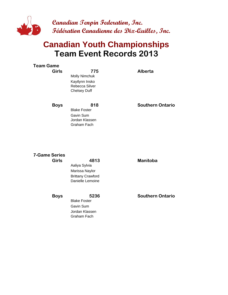

## **Team Event Records 2013 Canadian Youth Championships**

| Team Game    |                                                                                        |                         |
|--------------|----------------------------------------------------------------------------------------|-------------------------|
| <b>Girls</b> | 775<br><b>Molly Nimchuk</b><br>Kaytlynn Insko<br>Rebecca Silver<br><b>Chelsey Duff</b> | Alberta                 |
| <b>Boys</b>  | 818<br><b>Blake Foster</b><br>Gavin Sum<br>Jordan Klassen<br>Graham Fach               | <b>Southern Ontario</b> |

## **7-Game Series**

**Girls 4813 MB Manitoba** Aaliya Sylvia Marissa Naylor Brittany Crawford Danielle Lemoine

Blake Foster Gavin Sum Jordan Klassen Graham Fach

**Boys** 5236 **Southern Ontario**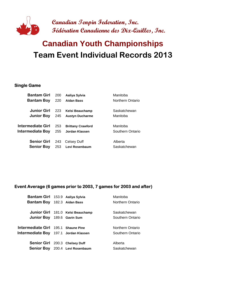

# **Team Event Individual Records 2013 Canadian Youth Championships**

#### **Single Game**

| <b>Bantam Girl</b> | 200 | Aaliya Sylvia            | Manitoba         |
|--------------------|-----|--------------------------|------------------|
| <b>Bantam Boy</b>  | 220 | <b>Aidan Bass</b>        | Northern Ontario |
| Junior Girl        | 223 | Kelsi Beauchamp          | Saskatchewan     |
|                    |     |                          |                  |
| <b>Junior Boy</b>  | 245 | <b>Austyn Ducharme</b>   | Manitoba         |
|                    |     |                          |                  |
| Intermediate Girl  | 253 | <b>Brittany Crawford</b> | Manitoba         |
| Intermediate Boy   | 255 | Jordan Klassen           | Southern Ontario |
|                    |     |                          |                  |
| <b>Senior Girl</b> | 243 | Celsey Duff              | Alberta          |
| <b>Senior Boy</b>  | 253 | Levi Rosenbaum           | Saskatchewan     |
|                    |     |                          |                  |

#### **Event Average (6 games prior to 2003, 7 games for 2003 and after)**

| Bantam Girl 153.9 Aaliya Sylvia            |                                   | Manitoba         |
|--------------------------------------------|-----------------------------------|------------------|
| Bantam Boy 182.3 Aidan Bass                |                                   | Northern Ontario |
|                                            |                                   |                  |
|                                            | Junior Girl 181.0 Kelsi Beauchamp | Saskatchewan     |
| Junior Boy 189.6 Gavin Sum                 |                                   | Southern Ontario |
|                                            |                                   |                  |
| <b>Intermediate Girl</b> 195.1 Shaune Pine |                                   | Northern Ontario |
| Intermediate Boy 197.1 Jordan Klassen      |                                   | Southern Ontario |
|                                            |                                   |                  |
| Senior Girl 200.3 Chelsey Duff             |                                   | Alberta          |
|                                            | Senior Boy 200.4 Levi Rosenbaum   | Saskatchewan     |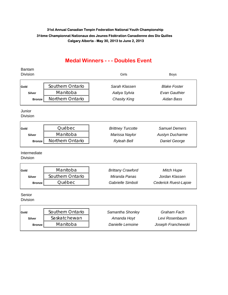### **Medal Winners - - - Doubles Event**

#### Bantam Division Girls Boys

| Gold          | Southern Ontario        | Sarah Klassen | <b>Blake Foster</b> |
|---------------|-------------------------|---------------|---------------------|
| <b>Silver</b> | Manitoba                | Aaliya Sylvia | Evan Gauthier       |
| <b>Bronze</b> | <b>Northern Ontario</b> | Chasity King  | Aidan Bass          |

### Junior

Division

| Gold          | Québec           | <b>Brittney Turcotte</b> | <b>Samuel Demers</b>   |
|---------------|------------------|--------------------------|------------------------|
| <b>Silver</b> | Manitoba         | Marissa Naylor           | <b>Austyn Ducharme</b> |
| <b>Bronze</b> | Northern Ontario | <b>Ryleah Bell</b>       | <b>Daniel George</b>   |

Intermediate

Division

 $\mathsf{r}$ 

| Gold          | Manitoba         | <b>Brittany Crawford</b> | Mitch Hupe            |
|---------------|------------------|--------------------------|-----------------------|
| <b>Silver</b> | Southern Ontario | Miranda Panas            | Jordan Klassen        |
| <b>Bronze</b> | Québec           | Gabrielle Simboli        | Cederick Ruest-Lajoie |

Senior

Division

Г

| Gold          | Southern Ontario | Samantha Shonley | Graham Fach        |
|---------------|------------------|------------------|--------------------|
| <b>Silver</b> | Saskatchewan     | Amanda Hoyt      | Levi Rosenbaum     |
| <b>Bronze</b> | Manitoba         | Danielle Lemoine | Joseph Franchewski |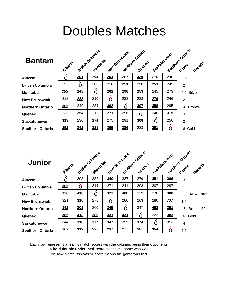# Doubles Matches

| <b>Bantam</b>           | Alloetia |     | British Columbia<br>Manitoloa |     | Northern Ontario<br>New Britishick |     | Seattletchewan |     | Southern Points Ratats |
|-------------------------|----------|-----|-------------------------------|-----|------------------------------------|-----|----------------|-----|------------------------|
| Alberta                 |          | 291 | 283                           | 254 | 257                                | 320 | 270            | 248 | 3.5                    |
| <b>British Columbia</b> | 253      |     | 206                           | 218 | 251                                | 250 | 253            | 245 | $\overline{2}$         |
| <b>Manitoba</b>         | 283      | 248 |                               | 261 | 298                                | 253 | 245            | 273 | 4.5 Silver             |
| <b>New Brunswick</b>    | 213      | 233 | 210                           |     | 283                                | 232 | 276            | 246 | $\overline{2}$         |
| <b>Northern Ontario</b> | 305      | 249 | 284                           | 302 | Ω                                  | 307 | 358            | 295 | <b>Bronze</b><br>4     |
| Québec                  | 233      | 254 | 215                           | 271 | 296                                | 8   | 246            | 315 | 3                      |
| Saskatchewan            | 313      | 230 | 274                           | 275 | 291                                | 308 |                | 256 | 3                      |
| <b>Southern Ontario</b> | 292      | 342 | <u>311</u>                    | 369 | <b>386</b>                         | 283 | 291            |     | 6 Gold                 |

| Junior                  | Albertia |     | British Columbia<br>Manitoba |     | New Bringwick | Northern Ontario<br>Quebec | Saskatchewan |            | Southern Ontario<br>Rollotis |
|-------------------------|----------|-----|------------------------------|-----|---------------|----------------------------|--------------|------------|------------------------------|
| <b>Alberta</b>          |          | 303 | 332                          | 340 | 337           | 279                        | 351          | 306        | $\mathbf{3}$                 |
| <b>British Columbia</b> | 305      |     | 314                          | 271 | 241           | 293                        | 307          | 297        | 1                            |
| Manitoba                | 336      | 410 |                              | 323 | <b>480</b>    | 339                        | 376          | 388        | 5<br>Silver 381              |
| <b>New Brunswick</b>    | 321      | 310 | 278                          |     | 280           | 263                        | 286          | 307        | 1.5                          |
| <b>Northern Ontario</b> | 342      | 301 | 360                          | 345 | 8             | 347                        | <b>402</b>   | <u>391</u> | 5<br>Bronze 324              |
| Québec                  | 385      | 413 | 386                          | 331 | <b>431</b>    |                            | 323          | 383        | 6<br>Gold                    |
| Saskatchewan            | 344      | 310 | 377                          | 347 | 355           | 374                        |              | 353        | 4                            |
| <b>Southern Ontario</b> | 302      | 312 | 328                          | 307 | 277           | 381                        | 354          |            | 2.5                          |

Each row represents a team's match scores with the columns being their opponents.

A **bold double-underlined** score means the game was won.

An *italic single-underlined* score means the game was tied.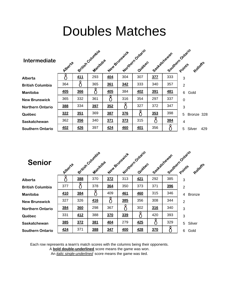# Doubles Matches

| <b>Intermediate</b>     | Alberte    |            | British Columbia<br>Manicoba |            | New Brunswick | Northern Ontario<br>Quebec | Society of Cheylan |            | Southern Ontario<br>Rohoffs |
|-------------------------|------------|------------|------------------------------|------------|---------------|----------------------------|--------------------|------------|-----------------------------|
| Alberta                 |            | <u>411</u> | 293                          | <b>404</b> | 304           | 307                        | 377                | 333        | 3                           |
| <b>British Columbia</b> | 364        |            | 365                          | 361        | 342           | 333                        | 340                | 357        | $\overline{2}$              |
| Manitoba                | <b>405</b> | 366        |                              | <b>405</b> | 384           | <b>402</b>                 | 391                | <u>481</u> | 6<br>Gold                   |
| <b>New Brunswick</b>    | 365        | 332        | 361                          |            | 316           | 354                        | 297                | 337        | $\mathbf 0$                 |
| <b>Northern Ontario</b> | 388        | 334        | 397                          | 352        |               | 327                        | 372                | 347        | 3                           |
| Québec                  | 322        | <u>351</u> | 369                          | 387        | 376           |                            | 353                | 398        | 5<br>Bronze 328             |
| Saskatchewan            | 362        | 356        | 340                          | 371        | 373           | 315                        |                    | 384        | 4                           |
| <b>Southern Ontario</b> | 402        | 426        | 397                          | 424        | 460           | <u>401</u>                 | 356                |            | 5<br>Silver<br>429          |

| <b>Senior</b>           | Alberta    |     | British Columbia<br>Manitoloa |     | New Britiswick | Morthern Ontario<br>Quebec | Seattlefterburn |     | Southern Ontario<br>Rotloffs |
|-------------------------|------------|-----|-------------------------------|-----|----------------|----------------------------|-----------------|-----|------------------------------|
| Alberta                 |            | 388 | 370                           | 372 | 313            | <u>421</u>                 | 292             | 385 | 3                            |
| <b>British Columbia</b> | 377        |     | 378                           | 364 | 350            | 373                        | 371             | 396 | 2                            |
| <b>Manitoba</b>         | 410        | 384 |                               | 409 | 461            | 460                        | 315             | 346 | <b>Bronze</b><br>4           |
| <b>New Brunswick</b>    | 327        | 326 | 416                           | 8   | 385            | 356                        | 308             | 344 | $\overline{2}$               |
| <b>Northern Ontario</b> | 384        | 360 | 298                           | 367 | 8              | 302                        | 316             | 340 | 3                            |
| Québec                  | 331        | 412 | 388                           | 370 | 339            | 0                          | 420             | 393 | 3                            |
| <b>Saskatchewan</b>     | <b>385</b> | 372 | 381                           | 404 | 279            | <b>425</b>                 | 0               | 329 | Silver<br>5                  |
| <b>Southern Ontario</b> | 424        | 371 | 388                           | 347 | 400            | 428                        | 370             |     | Gold<br>6                    |

Each row represents a team's match scores with the columns being their opponents.

A **bold double-underlined** score means the game was won.

An *italic single-underlined* score means the game was tied.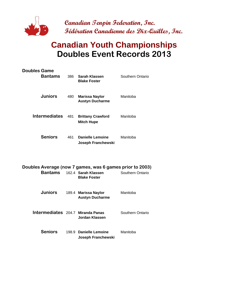

## **Canadian Youth Championships Doubles Event Records 2013**

| <b>Doubles Game</b><br><b>Bantams</b>                               | 386 | Sarah Klassen<br><b>Blake Foster</b>            | Southern Ontario |
|---------------------------------------------------------------------|-----|-------------------------------------------------|------------------|
| <b>Juniors</b>                                                      | 480 | <b>Marissa Naylor</b><br><b>Austyn Ducharme</b> | Manitoba         |
| <b>Intermediates</b>                                                | 481 | <b>Brittany Crawford</b><br><b>Mitch Hupe</b>   | Manitoba         |
| <b>Seniors</b>                                                      | 461 | <b>Danielle Lemoine</b><br>Joseph Franchewski   | Manitoba         |
| Doubles Average (now 7 games, was 6 games prior to 2003)<br>Bantams |     | 162.4 Sarah Klassen<br><b>Blake Foster</b>      | Southern Ontario |
| <b>Juniors</b>                                                      |     | 189.4 Marissa Naylor<br><b>Austyn Ducharme</b>  | Manitoba         |

| Intermediates 204.7 Miranda Panas | Jordan Klassen         | Southern Ontario |
|-----------------------------------|------------------------|------------------|
| <b>Seniors</b>                    | 198.9 Danielle Lemoine | Manitoba         |

**Joseph Franchewski**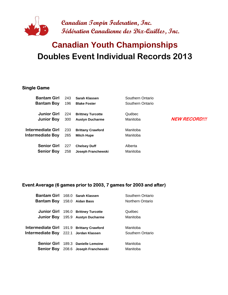

# **Doubles Event Individual Records 2013 Canadian Youth Championships**

#### **Single Game**

| <b>Bantam Girl</b> | 243 | Sarah Klassen            | Southern Ontario |                      |
|--------------------|-----|--------------------------|------------------|----------------------|
| <b>Bantam Boy</b>  | 196 | <b>Blake Foster</b>      | Southern Ontario |                      |
| <b>Junior Girl</b> | 224 | <b>Brittney Turcotte</b> | Québec           |                      |
| <b>Junior Boy</b>  | 300 | <b>Austyn Ducharme</b>   | Manitoba         | <b>NEW RECORD!!!</b> |
| Intermediate Girl  | 233 | <b>Brittany Crawford</b> | Manitoba         |                      |
| Intermediate Boy   | 265 | <b>Mitch Hupe</b>        | Manitoba         |                      |
| <b>Senior Girl</b> | 227 | <b>Chelsey Duff</b>      | Alberta          |                      |
| <b>Senior Boy</b>  | 258 | Joseph Franchewski       | Manitoba         |                      |
|                    |     |                          |                  |                      |

#### **Event Average (6 games prior to 2003, 7 games for 2003 and after)**

| <b>Bantam Girl</b>                        | 168.0 Sarah Klassen                 | Southern Ontario |
|-------------------------------------------|-------------------------------------|------------------|
| Bantam Boy                                | 158.0 Aidan Bass                    | Northern Ontario |
|                                           |                                     |                  |
|                                           | Junior Girl 196.0 Brittney Turcotte | Québec           |
| <b>Junior Boy</b>                         | 195.9 Austyn Ducharme               | Manitoba         |
|                                           |                                     |                  |
| Intermediate Girl 191.9 Brittany Crawford |                                     | Manitoba         |
| Intermediate Boy 222.1 Jordan Klassen     |                                     | Southern Ontario |
|                                           |                                     |                  |
| <b>Senior Girl</b>                        | 189.3 Danielle Lemoine              | Manitoba         |
| <b>Senior Boy</b>                         | 208.6 Joseph Franchewski            | Manitoba         |
|                                           |                                     |                  |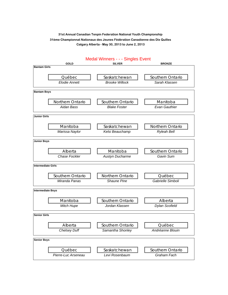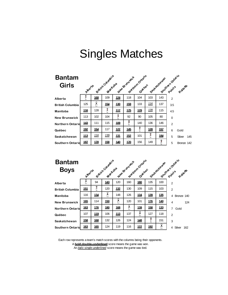| <b>Bantam</b>           |             |             |            |                                       |            |                            |            |               |             |                 |
|-------------------------|-------------|-------------|------------|---------------------------------------|------------|----------------------------|------------|---------------|-------------|-----------------|
| <b>Girls</b>            | Alberta     |             |            | British Coturations<br>New Britishick |            | Northern Ontaxio<br>Quebec |            | Sast atchewan |             | Southernotation |
| Alberta                 | ۸.          | 168         | 109        | 124                                   | 118        | 104                        | 103        | 143           | 2           |                 |
| <b>British Columbia</b> | 125         | Â           | <u>154</u> | 130                                   | <u>159</u> | 133                        | 116        | 137           | 3.5         |                 |
| <b>Manitoba</b>         | <u>116</u>  | 128         | X<br>₩     | 117                                   | 125        | 129                        | <u>139</u> | 115           | 4.5         |                 |
| <b>New Brunswick</b>    | 113         | 102         | 104        | 8<br>w                                | 92         | 90                         | 105        | 80            | $\mathbf 0$ |                 |
| <b>Northern Ontario</b> | <u>143</u>  | 111         | 115        | <u>109</u>                            | X          | 140                        | 136        | 146           | 2           |                 |
| Québec                  | <u>192</u>  | <u>154</u>  | 117        | <u>122</u>                            | 145        | X<br>ι.                    | <u>128</u> | 157           | 6           | Gold            |
| Saskatchewan            | <u> 113</u> | <u> 116</u> | <u>139</u> | <u>131</u>                            | 152        | 101                        | E          | <u>184</u>    | 5           | Silver<br>145   |
| <b>Southern Ontarid</b> | <u>187</u>  | <u>178</u>  | 158        | <u>140</u>                            | <u>170</u> | 156                        | 149        | Х             | 5           | Bronze 142      |

| <b>Bantam</b><br><b>Boys</b> | Aperte     |             |            | British Columbia | Northern Ontario<br>Noul Britishick |            |            |            | Saskatchewan Points of<br>Royage |
|------------------------------|------------|-------------|------------|------------------|-------------------------------------|------------|------------|------------|----------------------------------|
| Alberta                      | Ĉ          | 94          | <u>143</u> | 120              | 160                                 | <u>180</u> | 135        | 100        | $\overline{2}$                   |
| <b>British Columbia</b>      | <u>151</u> | X<br>۰,     | 120        | 132              | 130                                 | 109        | 115        | 103        | 2                                |
| <b>Manitoba</b>              | 116        | 134         | ĉ          | 148              | 126                                 | 124        | 139        | <u>135</u> | 4 Bronze 140                     |
| <b>New Brunswick</b>         | <u>165</u> | 114         | <u>150</u> | ĉ                | 120                                 | 101        | 176        | <u>140</u> | 4<br>124                         |
| <b>Northern Ontarid</b>      | 163        | <u>176</u>  | <u>180</u> | <u>168</u>       | c.<br>Ĉ                             | <u>139</u> | 158        | 133        | 7<br>Gold                        |
| Québec                       | 107        | <u> 119</u> | 106        | 113              | 137                                 | ĉ          | 127        | 118        | $\overline{2}$                   |
| Saskatchewan                 | <u>158</u> | <u>168</u>  | 132        | 126              | 124                                 | 148        | X<br>ı,    | 151        | 3                                |
| <b>Southern Ontarid</b>      | <u>163</u> | <u>165</u>  | 124        | 119              | 116                                 | <u>122</u> | <u>192</u> | c.<br>A    | Silver<br>162<br>4               |

A **bold double-underlined** score means the game was won. An *italic single-underlined* score means the game was tied. Each row represents a team's match scores with the columns being their opponents.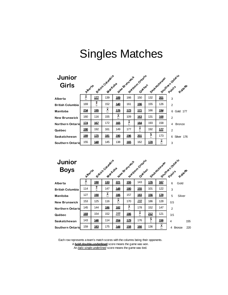| Junior<br><b>Girls</b>  | Albertia   |            |            | British County's<br>Notifern Ontario<br>New Bringwater<br>Quebec |            |             |            |             | Sasta Southern Prints Rates |  |  |
|-------------------------|------------|------------|------------|------------------------------------------------------------------|------------|-------------|------------|-------------|-----------------------------|--|--|
|                         |            |            |            |                                                                  |            |             |            |             |                             |  |  |
| Alberta                 | Ĉ          | 177        | 139        | <u>189</u>                                                       | 166        | 150         | 132        | 2 <u>01</u> | 3                           |  |  |
| <b>British Columbia</b> | 169        | X          | 152        | 140                                                              | 161        | 196         | 155        | 126         | $\overline{2}$              |  |  |
| <b>Manitoba</b>         | 234        | <u>195</u> | Â          | 176                                                              | <u>173</u> | <u> 171</u> | 166        | <u>194</u>  | 6<br>Gold 177               |  |  |
| <b>New Brunswick</b>    | 160        | 116        | 155        | Ĉ                                                                | 109        | 163         | 131        | 168         | $\overline{2}$              |  |  |
| <b>Northern Ontario</b> | <u>174</u> | <u>167</u> | 172        | <u>165</u>                                                       | Â<br>ŧ,    | <u>184</u>  | 193        | 158         | <b>Bronze</b><br>4          |  |  |
| Québec                  | <u>190</u> | 192        | 161        | 149                                                              | 177        | ĉ           | 192        | <u>177</u>  | $\overline{2}$              |  |  |
| Saskatchewan            | 189        | <u>175</u> | <u>181</u> | <u>190</u>                                                       | 196        | <u>201</u>  | 8          | 173         | Silver 176<br>6             |  |  |
| <b>Southern Ontario</b> | 155        | <u>148</u> | 145        | 138                                                              | 165        | 162         | <u>178</u> | n,<br>A     | 3                           |  |  |

| <b>Junior</b><br><b>Boys</b> |            |            |            | British County is<br>New Stunswich |              | Northern Ontano |            | Saskatchewan | South Property S          |
|------------------------------|------------|------------|------------|------------------------------------|--------------|-----------------|------------|--------------|---------------------------|
|                              | Alberta    |            |            |                                    |              |                 |            |              |                           |
| Alberta                      | Ã<br>ı.    | <u>190</u> | 133        | 221                                | <u>155</u>   | 143             | <u>176</u> | <u>167</u>   | 6<br>Gold                 |
| <b>British Columbia</b>      | 114        | X<br>۰,    | 147        | 148                                | <u>180</u>   | <u>155</u>      | 101        | 122          | 3                         |
| Manitoba                     | 127        | <u>190</u> | ĉ          | 186                                | 157          | 183             | <u>156</u> | <u>178</u>   | 5<br>Silver               |
| <b>New Brunswick</b>         | 153        | 125        | 116        | ĉ                                  | 170          | 168             | 186        | 128          | 0.5                       |
| <b>Northern Ontario</b>      | 145        | 144        | <u>186</u> | <u>182</u>                         | z<br>А<br>ι. | 178             | 152        | 147          | $\overline{2}$            |
| Québec                       | <u>169</u> | 154        | 152        | 168                                | 186          | Â               | 212        | 121          | 3.5                       |
| Saskatchewan                 | 143        | 146        | 114        | 204                                | <u>179</u>   | 176             | Я<br>ι,    | <u>156</u>   | 4<br>155                  |
| <b>Southern Ontarid</b>      | 159        | <u>183</u> | 175        | <u>144</u>                         | 158          | <u>166</u>      | 136        | n.<br>Α<br>w | <b>Bronze</b><br>220<br>4 |

A **bold double-underlined** score means the game was won. An *italic single-underlined* score means the game was tied. Each row represents a team's match scores with the columns being their opponents.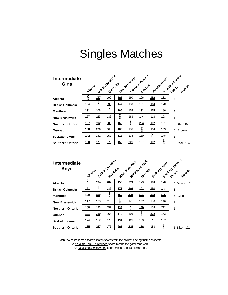| <b>Intermediate</b><br>Girls | Alberta     |             | Sittish Columbia |              | New Britishick | Notifiern Ontanio | Seat atchewar |            | South Protestion Rate |
|------------------------------|-------------|-------------|------------------|--------------|----------------|-------------------|---------------|------------|-----------------------|
|                              | ĥ           | 177         | 190              | 195          | 160            | 126               | 150           | 182        |                       |
| Alberta                      | ι.          |             |                  |              |                |                   |               |            | 3                     |
| <b>British Columbia</b>      | 164         | X<br>۰.     | <u>199</u>       | 144          | 183            | 151               | 153           | 170        | 2                     |
| Manitoba                     | <u>191</u>  | 168         | X<br>u           | 206          | 168            | <u>191</u>        | 176           | 136        | $\overline{4}$        |
| <b>New Brunswick</b>         | 167         | <u> 193</u> | 136              | e.<br>А<br>v | 163            | 144               | 118           | 128        | 1                     |
| <b>Northern Ontario</b>      | <u>167</u>  | <u> 192</u> | <u>180</u>       | 166          | 8<br>ı.        | 234               | <u>192</u>    | 161        | Silver 157<br>6       |
| Québec                       | <u>138</u>  | 220         | 165              | 188          | 156            | Â<br>u            | 156           | <u>169</u> | 5<br><b>Bronze</b>    |
| Saskatchewan                 | 142         | 141         | 158              | <u> 174</u>  | 103            | 119               | Ĉ             | 148        | 1                     |
| <b>Southern Ontario</b>      | <u> 188</u> | <u> 171</u> | <u>179</u>       | 156          | <u>201</u>     | 157               | 192           | Â<br>ι.    | 6<br>184<br>Gold      |

| Intermediate<br><b>Boys</b> | Alberta    |            | British Country's<br>Maitoba |            | New Britishick | Montgom Ontario<br>Quebec |            | Saskatchewan | South Points<br>Rotleffs |
|-----------------------------|------------|------------|------------------------------|------------|----------------|---------------------------|------------|--------------|--------------------------|
| Alberta                     | 8          | <u>194</u> | 202                          | 158        | <u>213</u>     | 179                       | 189        | 178          | 5 Bronze 161             |
| <b>British Columbia</b>     | 151        | Х          | 137                          | 178        | 146            | 191                       | 193        | 148          | 3                        |
| Manitoba                    | 170        | 200        | X                            | 158        | <u>179</u>     | <u>191</u>                | <u>198</u> | <u>195</u>   | 6<br>Gold                |
| <b>New Brunswick</b>        | 117        | 170        | 115                          | ĉ          | 141            | 157                       | 150        | 146          | 1                        |
| Northern Ontario            | 168        | 123        | 157                          | 234        | v.<br>Ж        | <u>180</u>                | 158        | 212          | $\overline{2}$           |
| Québec                      | <u>191</u> | 210        | 164                          | 149        | 166            | χ<br>v                    | 222        | 153          | 3                        |
| Saskatchewan                | 174        | 152        | 170                          | <u>191</u> | <u>191</u>     | 169                       | X<br>ı.    | <u>187</u>   | 3                        |
| Southern Ontario            | <u>185</u> | 267        | 175                          | 20Z        | 215            | 186                       | 183        | X            | 5<br>Silver 191          |

An *italic single-underlined* score means the game was tied. Each row represents a team's match scores with the columns being their opponents. A **bold double-underlined** score means the game was won.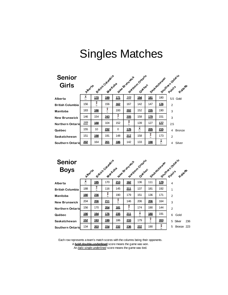| <b>Senior</b><br><b>Girls</b> | Albertia   |            |            | British Countries<br>New Britishick |            | Notifiern Ontailo |            | Sask achewar | South Principal Rates |
|-------------------------------|------------|------------|------------|-------------------------------------|------------|-------------------|------------|--------------|-----------------------|
| Alberta                       | ĥ          | <u>170</u> | <u>199</u> | <u>171</u>                          | <u>169</u> | <u>194</u>        | <u>181</u> | 180          | 5.5 Gold              |
| <b>British Columbia</b>       | 156        | X          | 156        | 162                                 | 167        | 142               | 147        | <u>176</u>   | $\overline{2}$        |
| Manitoba                      | 183        | <u>186</u> | χ<br>u     | 193                                 | 202        | 152               | 235        | 190          | 3                     |
| <b>New Brunswick</b>          | 146        | 154        | 243        | χ                                   | 205        | 158               | <u>179</u> | 151          | 3                     |
| <b>Northern Ontario</b>       | <u>169</u> | 188        | 104        | 152                                 | X          | 139               | 127        | <u>177</u>   | 2.5                   |
| Québec                        | 155        | 10         | 232        | 0                                   | 176        | ĉ                 | 205        | 215          | <b>Bronze</b><br>4    |
| Saskatchewan                  | 151        | <u>198</u> | 191        | 148                                 | 217        | 158               | ዩ<br>ι.    | 173          | $\overline{2}$        |
| <b>Southern Ontario</b>       | 202        | 164        | 201        | 186                                 | 142        | 133               | 198        | Ã<br>v       | Silver<br>4           |

| <b>Senior</b>           |            |            |            |                  |                |                            |            |     |                             |
|-------------------------|------------|------------|------------|------------------|----------------|----------------------------|------------|-----|-----------------------------|
| <b>Boys</b>             | Aberta     |            |            | British Columbia | New Britishick | Northern Ortario<br>Quebec |            |     | Sastexizewan points a diale |
| Alberta                 | A          | <u>195</u> | 170        | 213              | 162            | 136                        | 111        | 179 | 4                           |
| <b>British Columbia</b> | 188        | X<br>v     | 116        | 145              | 211            | 137                        | 181        | 192 | 1                           |
| Manitoba                | 180        | 236        | γ          | 190              | 179            | 151                        | 136        | 171 | 2                           |
| <b>New Brunswick</b>    | 204        | 206        | 211        | 2<br>ı.          | 146            | 206                        | 206        | 164 | 3                           |
| <b>Northern Ontario</b> | 156        | 170        | 204        | <u>181</u>       | X              | 174                        | 190        | 144 | 2                           |
| Québec                  | <u>190</u> | <u>194</u> | 176        | 235              | 211            | e.<br>Ć                    | <u>180</u> | 191 | 6<br>Gold                   |
| Saskatchewan            | 152        | <u>193</u> | <u>199</u> | 186              | 233            | 179                        | E          | 203 | Silver<br>5<br>236          |
| <b>Southern Ontario</b> | 134        | 203        | 224        | 232              | 236            | 237                        | 190        | Х   | 5<br>Bronze 223             |

Each row represents a team's match scores with the columns being their opponents. A **bold double-underlined** score means the game was won. An *italic single-underlined* score means the game was tied.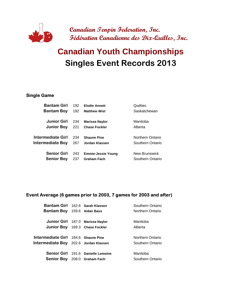

# **Singles Event Records 2013 Canadian Youth Championships**

#### **Single Game**

| <b>Bantam Girl</b>                      | 192        | <b>Elodie Annett</b>                            | Québec                                   |
|-----------------------------------------|------------|-------------------------------------------------|------------------------------------------|
| <b>Bantam Boy</b>                       | 192        | <b>Matthew Wist</b>                             | Saskatchewan                             |
| <b>Junior Girl</b>                      | 234        | <b>Marissa Naylor</b>                           | Manitoba                                 |
| <b>Junior Boy</b>                       | 221        | <b>Chase Fockler</b>                            | Alberta                                  |
| Intermediate Girl                       | 234        | <b>Shaune Pine</b>                              | Northern Ontario                         |
| <b>Intermediate Boy</b>                 | 267        | Jordan Klassen                                  | Southern Ontario                         |
| <b>Senior Girl</b><br><b>Senior Boy</b> | 243<br>237 | <b>Emmie-Jessie Young</b><br><b>Graham Fach</b> | <b>New Brunswick</b><br>Southern Ontario |
|                                         |            |                                                 |                                          |

#### **Event Average (6 games prior to 2003, 7 games for 2003 and after)**

| Bantam Girl 162.6 Sarah Klassen       |                                    | Southern Ontario |
|---------------------------------------|------------------------------------|------------------|
| <b>Bantam Boy</b> 159.6 Aidan Bass    |                                    | Northern Ontario |
|                                       |                                    |                  |
|                                       | Junior Girl 187.0 Marissa Naylor   | Manitoba         |
|                                       | Junior Boy 169.3 Chase Fockler     | Alberta          |
|                                       |                                    |                  |
| Intermediate Girl 184.6 Shaune Pine   |                                    | Northern Ontario |
| Intermediate Boy 202.6 Jordan Klassen |                                    | Southern Ontario |
|                                       |                                    |                  |
|                                       | Senior Girl 191.6 Danielle Lemoine | Manitoba         |
| <b>Senior Boy</b> 208.0 Graham Fach   |                                    | Southern Ontario |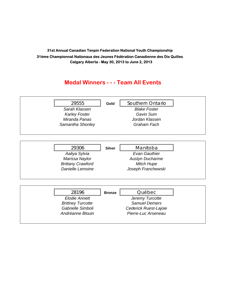### **Medal Winners - - - Team All Events**

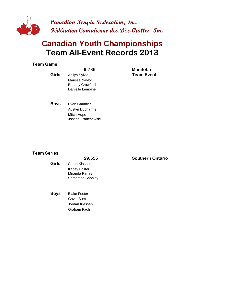

## **Team All-Event Records 2013 Canadian Youth Championships**

#### **Team Game**

|              | 9,736                                                                           | <b>Manitoba</b>   |
|--------------|---------------------------------------------------------------------------------|-------------------|
| <b>Girls</b> | Aaliya Sylvia<br>Marissa Naylor<br><b>Brittany Crawford</b><br>Danielle Lemoine | <b>Team Event</b> |
| <b>Rovs</b>  | Evan Gauthier                                                                   |                   |

**Boys** Evan Gauthier Austyn Ducharme Mitch Hupe Joseph Franchewski

#### **Team Series**

|       | 29,555              |  |
|-------|---------------------|--|
| Girls | Sarah Klassen       |  |
|       | Karley Foster       |  |
|       | Miranda Panas       |  |
|       | Samantha Shonley    |  |
|       |                     |  |
| Boys  | <b>Blake Foster</b> |  |
|       | Gavin Sum           |  |
|       | Jordan Klassen      |  |

Graham Fach

**29,555 SO Southern Ontario**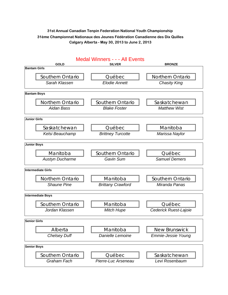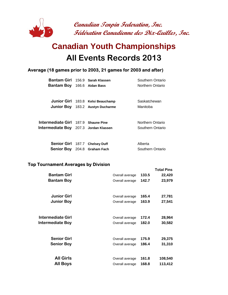

## **All Events Records 2013 Canadian Youth Championships**

#### **Average (18 games prior to 2003, 21 games for 2003 and after)**

| Bantam Girl 156.9 Sarah Klassen       |                                   | Southern Ontario |
|---------------------------------------|-----------------------------------|------------------|
| <b>Bantam Boy</b> 166.6 Aidan Bass    |                                   | Northern Ontario |
|                                       |                                   |                  |
|                                       | Junior Girl 183.8 Kelsi Beauchamp | Saskatchewan     |
|                                       | Junior Boy 183.2 Austyn Ducharme  | Manitoba         |
|                                       |                                   |                  |
| Intermediate Girl 187.9 Shaune Pine   |                                   | Northern Ontario |
| Intermediate Boy 207.3 Jordan Klassen |                                   | Southern Ontario |
|                                       |                                   |                  |
| Senior Girl 187.7 Chelsey Duff        |                                   | Alberta          |
| Senior Boy 204.8 Graham Fach          |                                   | Southern Ontario |

#### **Top Tournament Averages by Division**

|                          |                 |       | <b>Total Pins</b> |
|--------------------------|-----------------|-------|-------------------|
| <b>Bantam Girl</b>       | Overall average | 133.5 | 22,420            |
| <b>Bantam Boy</b>        | Overall average | 142.7 | 23,979            |
| <b>Junior Girl</b>       | Overall average | 165.4 | 27,781            |
| <b>Junior Boy</b>        | Overall average | 163.9 | 27,541            |
| <b>Intermediate Girl</b> | Overall average | 172.4 | 28,964            |
| Intermediate Boy         | Overall average | 182.0 | 30,582            |
|                          |                 |       |                   |
| <b>Senior Girl</b>       | Overall average | 175.9 | 29,375            |
| <b>Senior Boy</b>        | Overall average | 186.4 | 31,310            |
| <b>All Girls</b>         | Overall average | 161.8 | 108,540           |
| <b>All Boys</b>          | Overall average | 168.8 | 113,412           |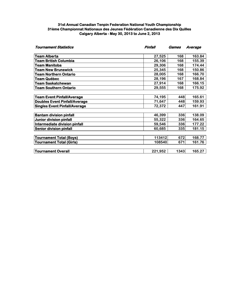| <b>Tournament Statistics</b>         | Pinfall | Games | Average |
|--------------------------------------|---------|-------|---------|
| <b>Team Alberta</b>                  | 27,525  | 168   | 163.84  |
| <b>Team British Columbia</b>         | 26,106  | 168   | 155.39  |
| <b>Team Manitoba</b>                 | 29,306  | 168   | 174.44  |
| <b>Team New Brunswick</b>            | 25,345  | 168   | 150.86  |
| Team Northern Ontario                | 28,005  | 168   | 166.70  |
| Team Québec                          | 28,196  | 167   | 168.84  |
| Team Saskatchewan                    | 27,914  | 168   | 166.15  |
| <b>Team Southern Ontario</b>         | 29,555  | 168   | 175.92  |
| <b>Team Event Pinfall/Average</b>    | 74,195  | 448   | 165.61  |
| <b>Doubles Event Pinfall/Average</b> | 71,647  | 448   | 159.93  |
| <b>Singles Event Pinfall/Average</b> | 72,372  | 447   | 161.91  |
| <b>Bantam division pinfall</b>       | 46,399  | 336   | 138.09  |
| Junior division pinfall              | 55,322  | 336   | 164.65  |
| Intermediate division pinfall        | 59,546  | 336   | 177.22  |
| <b>Senior division pinfall</b>       | 60,685  | 335   | 181.15  |
| <b>Tournament Total (Boys)</b>       | 113412  | 672   | 168.77  |
| <b>Tournament Total (Girls)</b>      | 108540  | 671   | 161.76  |
| <b>Tournament Overall</b>            | 221,952 | 1343  | 165.27  |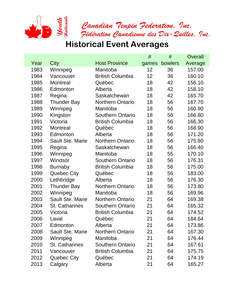

|      |                         |                         | #     | #       | Overall |
|------|-------------------------|-------------------------|-------|---------|---------|
| Year | City                    | <b>Host Province</b>    | games | bowlers | Average |
| 1983 | Winnipeg                | Manitoba                | 12    | 36      | 157.00  |
| 1984 | Vancouver               | <b>British Columbia</b> | 12    | 36      | 160.10  |
| 1985 | <b>Montreal</b>         | Québec                  | 18    | 42      | 156.10  |
| 1986 | Edmonton                | Alberta                 | 18    | 42      | 158.10  |
| 1987 | Regina                  | Saskatchewan            | 18    | 42      | 165.70  |
| 1988 | <b>Thunder Bay</b>      | <b>Northern Ontario</b> | 18    | 56      | 167.70  |
| 1989 | Winnipeg                | Manitoba                | 18    | 56      | 160.90  |
| 1990 | Kingston                | <b>Southern Ontario</b> | 18    | 56      | 166.80  |
| 1991 | Victoria                | <b>British Columbia</b> | 18    | 56      | 166.30  |
| 1992 | <b>Montreal</b>         | Québec                  | 18    | 56      | 168.90  |
| 1993 | Edmonton                | Alberta                 | 18    | 56      | 171.20  |
| 1994 | <b>Sault Ste. Marie</b> | <b>Northern Ontario</b> | 18    | 56      | 175.80  |
| 1995 | Regina                  | Saskatchewan            | 18    | 56      | 166.40  |
| 1996 | Winnipeg                | Manitoba                | 18    | 55      | 170.10  |
| 1997 | Windsor                 | <b>Southern Ontario</b> | 18    | 56      | 176.31  |
| 1998 | <b>Burnaby</b>          | <b>British Columbia</b> | 18    | 56      | 175.00  |
| 1999 | <b>Quebec City</b>      | Québec                  | 18    | 56      | 183.00  |
| 2000 | Lethbridge              | Alberta                 | 18    | 56      | 176.30  |
| 2001 | <b>Thunder Bay</b>      | <b>Northern Ontario</b> | 18    | 56      | 173.80  |
| 2002 | Winnipeg                | Manitoba                | 18    | 56      | 169.96  |
| 2003 | <b>Sault Ste. Marie</b> | <b>Northern Ontario</b> | 21    | 64      | 169.38  |
| 2004 | <b>St. Catharines</b>   | <b>Southern Ontario</b> | 21    | 64      | 165.32  |
| 2005 | Victoria                | <b>British Columbia</b> | 21    | 64      | 174.52  |
| 2006 | Laval                   | Québec                  | 21    | 64      | 184.64  |
| 2007 | Edmonton                | Alberta                 | 21    | 64      | 173.86  |
| 2008 | Sault Ste. Marie        | <b>Northern Ontario</b> | 21    | 64      | 167.30  |
| 2009 | Winnipeg                | Manitoba                | 21    | 64      | 176.44  |
| 2010 | St. Catharines          | <b>Southern Ontario</b> | 21    | 64      | 167.61  |
| 2011 | Vancouver               | <b>British Columbia</b> | 21    | 64      | 175.75  |
| 2012 | Quebec City             | Québec                  | 21    | 64      | 174.19  |
| 2013 | Calgary                 | Alberta                 | 21    | 64      | 165.27  |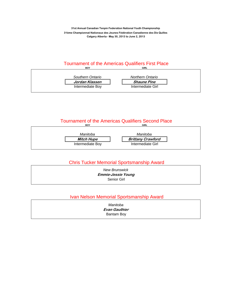#### Tournament of the Americas Qualifiers First Place **BOY**



#### **Tournament of the Americas Qualifiers Second Place BOY**



#### Chris Tucker Memorial Sportsmanship Award

| <b>New Brunswick</b>      |  |
|---------------------------|--|
| <b>Emmie-Jessie Young</b> |  |
| Senior Girl               |  |

#### Ivan Nelson Memorial Sportsmanship Award

| Manitoba             |  |
|----------------------|--|
| <b>Evan Gauthier</b> |  |
| Bantam Boy           |  |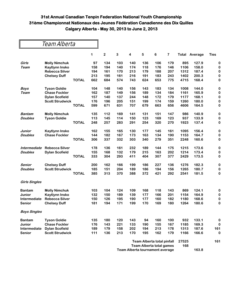|                      |                        |              | 1   | $\overline{2}$ | 3   | 4   | 5   | 6   | $\overline{\mathbf{7}}$ | Total | Average | <b>Ties</b> |
|----------------------|------------------------|--------------|-----|----------------|-----|-----|-----|-----|-------------------------|-------|---------|-------------|
| Girls                | <b>Molly Nimchuk</b>   |              | 97  | 134            | 103 | 140 | 136 | 106 | 179                     | 895   | 127.9   | $\pmb{0}$   |
| Team                 | Kaytlynn Insko         |              | 158 | 194            | 140 | 174 | 118 | 176 | 146                     | 1106  | 158.0   | 0           |
|                      | <b>Rebecca Silver</b>  |              | 194 | 161            | 170 | 213 | 179 | 188 | 207                     | 1312  | 187.4   | 0           |
|                      | <b>Chelsey Duff</b>    |              | 213 | 195            | 161 | 216 | 191 | 183 | 243                     | 1402  | 200.3   | $\bf{0}$    |
|                      |                        | <b>TOTAL</b> | 662 | 684            | 574 | 743 | 624 | 653 | 775                     | 4715  | 168.4   | $\bf{0}$    |
| <b>Boys</b>          | <b>Tyson Goldie</b>    |              | 104 | 148            | 140 | 156 | 143 | 183 | 134                     | 1008  | 144.0   | $\mathbf 0$ |
| Team                 | <b>Chase Fockler</b>   |              | 162 | 187            | 149 | 156 | 189 | 134 | 184                     | 1161  | 165.9   | 0           |
|                      | <b>Dylan Scofield</b>  |              | 157 | 140            | 137 | 244 | 148 | 172 | 179                     | 1177  | 168.1   | $\bf{0}$    |
|                      | <b>Scott Strudwick</b> |              | 176 | 196            | 205 | 151 | 199 | 174 | 159                     | 1260  | 180.0   | $\mathbf 0$ |
|                      |                        | <b>TOTAL</b> | 599 | 671            | 631 | 707 | 679 | 663 | 656                     | 4606  | 164.5   | $\bf{0}$    |
| <b>Bantam</b>        | <b>Molly Nimchuk</b>   |              | 135 | 112            | 169 | 141 | 131 | 151 | 147                     | 986   | 140.9   | $\mathbf 0$ |
| <b>Doubles</b>       | <b>Tyson Goldie</b>    |              | 113 | 145            | 114 | 150 | 123 | 169 | 123                     | 937   | 133.9   | $\bf{0}$    |
|                      |                        | <b>TOTAL</b> | 248 | 257            | 283 | 291 | 254 | 320 | 270                     | 1923  | 137.4   | $\bf{0}$    |
| Junior               | <b>Kaytlynn Insko</b>  |              | 162 | 155            | 165 | 130 | 177 | 145 | 161                     | 1095  | 156.4   | $\bf{0}$    |
| <b>Doubles</b>       | <b>Chase Fockler</b>   |              | 144 | 182            | 167 | 173 | 163 | 134 | 190                     | 1153  | 164.7   | 0           |
|                      |                        | <b>TOTAL</b> | 306 | 337            | 332 | 303 | 340 | 279 | 351                     | 2248  | 160.6   | $\bf{0}$    |
| Intermediate         | <b>Rebecca Silver</b>  |              | 178 | 136            | 161 | 232 | 189 | 144 | 175                     | 1215  | 173.6   | 0           |
| <b>Doubles</b>       | <b>Dylan Scofield</b>  |              | 155 | 168            | 132 | 179 | 215 | 163 | 202                     | 1214  | 173.4   | $\bf{0}$    |
|                      |                        | <b>TOTAL</b> | 333 | 304            | 293 | 411 | 404 | 307 | 377                     | 2429  | 173.5   | $\bf{0}$    |
| Senior               | <b>Chelsey Duff</b>    |              | 200 | 162            | 166 | 199 | 186 | 227 | 136                     | 1276  | 182.3   | $\bf{0}$    |
| <b>Doubles</b>       | <b>Scott Strudwick</b> |              | 185 | 151            | 204 | 189 | 186 | 194 | 156                     | 1265  | 180.7   | $\bf{0}$    |
|                      |                        | <b>TOTAL</b> | 385 | 313            | 370 | 388 | 372 | 421 | 292                     | 2541  | 181.5   | $\bf{0}$    |
| <b>Girls Singles</b> |                        |              |     |                |     |     |     |     |                         |       |         |             |
| <b>Bantam</b>        | <b>Molly Nimchuk</b>   |              | 103 | 104            | 124 | 109 | 168 | 118 | 143                     | 869   | 124.1   | 0           |
| Junior               | Kaytlynn Insko         |              | 132 | 150            | 189 | 139 | 177 | 166 | 201                     | 1154  | 164.9   | $\bf{0}$    |
| Intermediate         | <b>Rebecca Silver</b>  |              | 150 | 126            | 195 | 190 | 177 | 160 | 182                     | 1180  | 168.6   | $\bf{0}$    |
| <b>Senior</b>        | <b>Chelsey Duff</b>    |              | 181 | 194            | 171 | 199 | 170 | 169 | 180                     | 1264  | 180.6   | $\bf{0}$    |
| <b>Boys Singles</b>  |                        |              |     |                |     |     |     |     |                         |       |         |             |
| <b>Bantam</b>        | <b>Tyson Goldie</b>    |              | 135 | 180            | 120 | 143 | 94  | 160 | 100                     | 932   | 133.1   | 0           |
| <b>Junior</b>        | <b>Chase Fockler</b>   |              | 176 | 143            | 221 | 133 | 190 | 155 | 167                     | 1185  | 169.3   | $\bf{0}$    |
| Intermediate         | <b>Dylan Scofield</b>  |              | 189 | 179            | 158 | 202 | 194 | 213 | 178                     | 1313  | 187.6   | 161         |
| <b>Senior</b>        | <b>Scott Strudwick</b> |              | 111 | 136            | 213 | 170 | 195 | 162 | 179                     | 1166  | 166.6   | 0           |

| Team Alberta total pinfall      | 27525 |       | 161 |
|---------------------------------|-------|-------|-----|
| Team Alberta total games        | 168   |       |     |
| Team Alberta tournament average |       | 163.8 |     |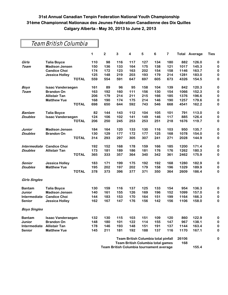### Team British Columbia

|                      |                          |              | 1   | $\overline{2}$ | 3   | 4   | 5   | 6                                                                        | 7   |              | <b>Total Average</b> | <b>Ties</b> |
|----------------------|--------------------------|--------------|-----|----------------|-----|-----|-----|--------------------------------------------------------------------------|-----|--------------|----------------------|-------------|
| Girls                | <b>Talia Boyce</b>       |              | 110 | 98             | 116 | 117 | 127 | 134                                                                      | 180 | 882          | 126.0                | 0           |
| Team                 | <b>Madison Jensen</b>    |              | 150 | 136            | 133 | 164 | 175 | 138                                                                      | 121 | 1017         | 145.3                | 0           |
|                      | <b>Candice Choi</b>      |              | 174 | 172            | 123 | 163 | 202 | 154                                                                      | 158 | 1146         | 163.7                | $\bf{0}$    |
|                      | <b>Jessica Holley</b>    |              | 125 | 148            | 219 | 203 | 193 | 179                                                                      | 214 | 1281         | 183.0                | 0           |
|                      |                          | <b>TOTAL</b> | 559 | 554            | 591 | 647 | 697 | 605                                                                      | 673 | 4326         | 154.5                | 0           |
| <b>Boys</b>          | <b>Isaac Vanderaegen</b> |              | 161 | 89             | 96  | 95  | 158 | 104                                                                      | 139 | 842          | 120.3                | $\bf{0}$    |
| Team                 | <b>Brandon On</b>        |              | 163 | 192            | 160 | 111 | 156 | 130                                                                      | 154 | 1066         | 152.3                | 0           |
|                      | <b>Allistair Tan</b>     |              | 206 | 179            | 214 | 211 | 215 | 166                                                                      | 185 | 1376         | 196.6                | 0           |
|                      | <b>Matthew Yue</b>       |              | 168 | 190            | 174 | 175 | 214 | 146                                                                      | 190 | 1257         | 179.6                | 0           |
|                      |                          | <b>TOTAL</b> | 698 | 650            | 644 | 592 | 743 | 546                                                                      | 668 | 4541         | 162.2                | $\bf{0}$    |
| <b>Bantam</b>        | <b>Talia Boyce</b>       |              | 82  | 144            | 143 | 112 | 104 | 105                                                                      | 101 | 791          | 113.0                | $\bf{0}$    |
| <b>Doubles</b>       | <b>Isaac Vanderaegen</b> |              | 124 | 106            | 102 | 141 | 149 | 146                                                                      | 117 | 885          | 126.4                | 0           |
|                      |                          | <b>TOTAL</b> | 206 | 250            | 245 | 253 | 253 | 251                                                                      | 218 | 1676         | 119.7                | 0           |
| Junior               | <b>Madison Jensen</b>    |              | 184 | 164            | 120 | 133 | 130 | 116                                                                      | 103 | 950          | 135.7                | $\bf{0}$    |
| <b>Doubles</b>       | <b>Brandon On</b>        |              | 130 | 129            | 177 | 172 | 177 | 125                                                                      | 168 | 1078         | 154.0                | 0           |
|                      |                          | <b>TOTAL</b> | 314 | 293            | 297 | 305 | 307 | 241                                                                      | 271 | 2028         | 144.9                | 0           |
| Intermediate         | <b>Candice Choi</b>      |              | 192 | 152            | 168 | 178 | 159 | 166                                                                      | 185 | 1200         | 171.4                | $\bf{0}$    |
| <b>Doubles</b>       | <b>Allistair Tan</b>     |              | 173 | 181            | 189 | 186 | 181 | 176                                                                      | 176 | 1262         | 180.3                | $\bf{0}$    |
|                      |                          | <b>TOTAL</b> | 365 | 333            | 357 | 364 | 340 | 342                                                                      | 361 | 2462         | 175.9                | 0           |
| Senior               | <b>Jessica Holley</b>    |              | 183 | 171            | 199 | 175 | 192 | 192                                                                      | 168 | 1280         | 182.9                | 0           |
| <b>Doubles</b>       | <b>Matthew Yue</b>       |              | 195 | 202            | 197 | 202 | 179 | 158                                                                      | 196 | 1329         | 189.9                | 0           |
|                      |                          | <b>TOTAL</b> | 378 | 373            | 396 | 377 | 371 | 350                                                                      | 364 | 2609         | 186.4                | $\bf{0}$    |
| <b>Girls Singles</b> |                          |              |     |                |     |     |     |                                                                          |     |              |                      |             |
| <b>Bantam</b>        | <b>Talia Boyce</b>       |              | 130 | 159            | 116 | 137 | 125 | 133                                                                      | 154 | 954          | 136.3                | 0           |
| Junior               | <b>Madison Jensen</b>    |              | 140 | 161            | 155 | 126 | 169 | 196                                                                      | 152 | 1099         | 157.0                | 0           |
| <b>Intermediate</b>  | <b>Candice Choi</b>      |              | 144 | 183            | 153 | 170 | 164 | 151                                                                      | 199 | 1164         | 166.3                | 0           |
| <b>Senior</b>        | <b>Jessica Holley</b>    |              | 162 | 167            | 147 | 176 | 156 | 142                                                                      | 156 | 1106         | 158.0                | 0           |
| <b>Boys Singles</b>  |                          |              |     |                |     |     |     |                                                                          |     |              |                      |             |
| <b>Bantam</b>        | <b>Isaac Vanderaegen</b> |              | 132 | 130            | 115 | 103 | 151 | 109                                                                      | 120 | 860          | 122.9                | 0           |
| Junior               | <b>Brandon On</b>        |              | 148 | 180            | 101 | 122 | 114 | 155                                                                      | 147 | 967          | 138.1                | 0           |
| Intermediate         | <b>Allistair Tan</b>     |              | 178 | 146            | 193 | 148 | 151 | 191                                                                      | 137 | 1144         | 163.4                | 0           |
| Senior               | <b>Matthew Yue</b>       |              | 145 | 211            | 181 | 192 | 188 | 137                                                                      | 116 | 1170         | 167.1                | 0           |
|                      |                          |              |     |                |     |     |     | Team British Columbia total pinfall<br>Team British Columbia total games |     | 26106<br>168 |                      | 0           |

**Team British Columbia tournament average 155.4**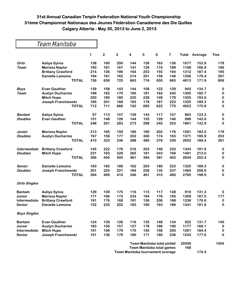Team Manitoba

|                      |                          | 1   | $\overline{\mathbf{c}}$ | 3   | 4   | 5   | 6                           | $\overline{\mathbf{7}}$ | Total | Average | <b>Ties</b> |
|----------------------|--------------------------|-----|-------------------------|-----|-----|-----|-----------------------------|-------------------------|-------|---------|-------------|
| Girls                | Aaliya Sylvia            | 138 | 160                     | 200 | 144 | 136 | 163                         | 136                     | 1077  | 153.9   | 178         |
| Team                 | <b>Marissa Naylor</b>    | 190 | 181                     | 167 | 141 | 126 | 174                         | 189                     | 1168  | 166.9   | 166         |
|                      | <b>Brittany Crawford</b> | 214 | 136                     | 196 | 164 | 253 | 155                         | 194                     | 1312  | 187.4   | 195         |
|                      | <b>Danielle Lemoine</b>  | 194 | 181                     | 162 | 214 | 201 | 158                         | 146                     | 1256  | 179.4   | 267         |
|                      | <b>TOTAL</b>             | 736 | 658                     | 725 | 663 | 716 | 650                         | 665                     | 4813  | 171.9   | 806         |
| <b>Boys</b>          | <b>Evan Gauthier</b>     | 139 | 158                     | 143 | 144 | 108 | 122                         | 129                     | 943   | 134.7   | $\bf{0}$    |
| Team                 | <b>Austyn Ducharme</b>   | 188 | 162                     | 170 | 190 | 181 | 164                         | 245                     | 1300  | 185.7   | $\bf{0}$    |
|                      | <b>Mitch Hupe</b>        | 200 | 190                     | 185 | 225 | 228 | 149                         | 178                     | 1355  | 193.6   | 0           |
|                      | Joseph Franchewski       | 185 | 201                     | 168 | 183 | 178 | 187                         | 223                     | 1325  | 189.3   | $\bf{0}$    |
|                      | <b>TOTAL</b>             | 712 | 711                     | 666 | 742 | 695 | 622                         | 775                     | 4923  | 175.8   | $\pmb{0}$   |
| <b>Bantam</b>        | Aaliya Sylvia            | 97  | 113                     | 157 | 129 | 143 | 117                         | 107                     | 863   | 123.3   | $\bf{0}$    |
| <b>Doubles</b>       | <b>Evan Gauthier</b>     | 151 | 148                     | 126 | 144 | 155 | 128                         | 146                     | 998   | 142.6   | $\bf{0}$    |
|                      | <b>TOTAL</b>             | 248 | 261                     | 283 | 273 | 298 | 245                         | 253                     | 1861  | 132.9   | $\bf{0}$    |
| Junior               | <b>Marissa Naylor</b>    | 213 | 165                     | 159 | 186 | 180 | 202                         | 176                     | 1281  | 183.0   | 178         |
| <b>Doubles</b>       | <b>Austyn Ducharme</b>   | 197 | 158                     | 177 | 202 | 300 | 174                         | 163                     | 1371  | 195.9   | 203         |
|                      | <b>TOTAL</b>             | 410 | 323                     | 336 | 388 | 480 | 376                         | 339                     | 2652  | 189.4   | 381         |
| Intermediate         | <b>Brittany Crawford</b> | 145 | 222                     | 176 | 216 | 203 | 148                         | 233                     | 1343  | 191.9   | $\bf{0}$    |
| <b>Doubles</b>       | <b>Mitch Hupe</b>        | 221 | 183                     | 229 | 265 | 181 | 243                         | 169                     | 1491  | 213.0   | 0           |
|                      | <b>TOTAL</b>             | 366 | 405                     | 405 | 481 | 384 | 391                         | 402                     | 2834  | 202.4   | 0           |
| Senior               | <b>Danielle Lemoine</b>  | 183 | 185                     | 189 | 162 | 203 | 180                         | 223                     | 1325  | 189.3   | $\bf{0}$    |
| <b>Doubles</b>       | Joseph Franchewski       | 201 | 224                     | 221 | 184 | 258 | 135                         | 237                     | 1460  | 208.6   | $\bf{0}$    |
|                      | <b>TOTAL</b>             | 384 | 409                     | 410 | 346 | 461 | 315                         | 460                     | 2785  | 198.9   | 0           |
| <b>Girls Singles</b> |                          |     |                         |     |     |     |                             |                         |       |         |             |
| <b>Bantam</b>        | Aaliya Sylvia            | 129 | 139                     | 175 | 116 | 115 | 117                         | 128                     | 919   | 131.3   | 0           |
| Junior               | <b>Marissa Naylor</b>    | 171 | 166                     | 173 | 234 | 194 | 176                         | 195                     | 1309  | 187.0   | 177         |
| <b>Intermediate</b>  | <b>Brittany Crawford</b> | 191 | 176                     | 168 | 191 | 136 | 206                         | 168                     | 1236  | 176.6   | 0           |
| <b>Senior</b>        | <b>Danielle Lemoine</b>  | 152 | 235                     | 202 | 183 | 190 | 193                         | 186                     | 1341  | 191.6   | $\bf{0}$    |
| <b>Boys Singles</b>  |                          |     |                         |     |     |     |                             |                         |       |         |             |
| <b>Bantam</b>        | <b>Evan Gauthier</b>     | 124 | 139                     | 126 | 116 | 135 | 148                         | 134                     | 922   | 131.7   | 140         |
| <b>Junior</b>        | <b>Austyn Ducharme</b>   | 183 | 156                     | 157 | 127 | 178 | 186                         | 190                     | 1177  | 168.1   | 0           |
| <b>Intermediate</b>  | <b>Mitch Hupe</b>        | 191 | 198                     | 179 | 170 | 195 | 158                         | 200                     | 1291  | 184.4   | $\bf{0}$    |
| <b>Senior</b>        | Joseph Franchewski       | 151 | 136                     | 179 | 180 | 171 | 190                         | 236                     | 1243  | 177.6   | $\bf{0}$    |
|                      |                          |     |                         |     |     |     | Team Manitoba total pinfall |                         | 29306 |         | 1504        |

**Team Manitoba total games 168 Team Manitoba tournament average 174.4**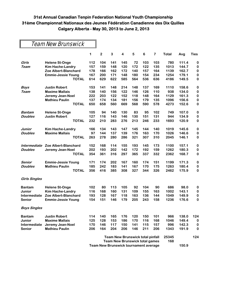### Team New Brunswick

|                      |                           | 1                                                                              | $\mathbf 2$ | 3   | 4                                       | 5   | 6   | 7   | Total | Avg   | Ties      |
|----------------------|---------------------------|--------------------------------------------------------------------------------|-------------|-----|-----------------------------------------|-----|-----|-----|-------|-------|-----------|
| Girls                | <b>Helene St-Onge</b>     | 112                                                                            | 104         | 141 | 145                                     | 72  | 103 | 103 | 780   | 111.4 | 0         |
| Team                 | <b>Kim Hache-Landry</b>   | 157                                                                            | 159         | 148 | 120                                     | 172 | 122 | 135 | 1013  | 144.7 | 0         |
|                      | Zoe Albert-Blanchard      | 178                                                                            | 166         | 162 | 172                                     | 140 | 157 | 164 | 1139  | 162.7 | 0         |
|                      | <b>Emmie-Jessie Young</b> | 167                                                                            | 200         | 171 | 148                                     | 180 | 154 | 234 | 1254  | 179.1 | $\pmb{0}$ |
|                      | <b>TOTAL</b>              | 614                                                                            | 629         | 622 | 585                                     | 564 | 536 | 636 | 4186  | 149.5 | $\bf{0}$  |
| <b>Boys</b>          | <b>Justin Robert</b>      | 153                                                                            | 141         | 148 | 214                                     | 148 | 137 | 169 | 1110  | 158.6 | 0         |
| Team                 | <b>Maxime Mallais</b>     | 138                                                                            | 140         | 156 | 122                                     | 146 | 126 | 110 | 938   | 134.0 | 0         |
|                      | Jeremy Jean-Noel          | 222                                                                            | 203         | 122 | 152                                     | 118 | 148 | 164 | 1129  | 161.3 | 0         |
|                      | <b>Mathieu Paulin</b>     | 137                                                                            | 174         | 134 | 181                                     | 156 | 179 | 135 | 1096  | 156.6 | 0         |
|                      | <b>TOTAL</b>              | 650                                                                            | 658         | 560 | 669                                     | 568 | 590 | 578 | 4273  | 152.6 | 0         |
| Bantam               | <b>Helene St-Onge</b>     | 105                                                                            | 94          | 140 | 130                                     | 83  | 95  | 102 | 749   | 107.0 | 0         |
| <b>Doubles</b>       | <b>Justin Robert</b>      | 127                                                                            | 116         | 143 | 146                                     | 130 | 151 | 131 | 944   | 134.9 | 0         |
|                      | <b>TOTAL</b>              | 232                                                                            | 210         | 283 | 276                                     | 213 | 246 | 233 | 1693  | 120.9 | 0         |
| Junior               | <b>Kim Hache-Landry</b>   | 166                                                                            | 134         | 143 | 147                                     | 145 | 144 | 140 | 1019  | 145.6 | $\bf{0}$  |
| <b>Doubles</b>       | <b>Maxime Mallais</b>     | 97                                                                             | 144         | 137 | 139                                     | 176 | 163 | 170 | 1026  | 146.6 | 0         |
|                      | <b>TOTAL</b>              | 263                                                                            | 278         | 280 | 286                                     | 321 | 307 | 310 | 2045  | 146.1 | 0         |
| Intermediate         | Zoe Albert-Blanchard      | 152                                                                            | 168         | 114 | 155                                     | 193 | 145 | 173 | 1100  | 157.1 | 0         |
| <b>Doubles</b>       | Jeremy Jean-Noel          | 202                                                                            | 193         | 202 | 142                                     | 172 | 192 | 159 | 1262  | 180.3 | 0         |
|                      | <b>TOTAL</b>              | 354                                                                            | 361         | 316 | 297                                     | 365 | 337 | 332 | 2362  | 168.7 | 0         |
| Senior               | <b>Emmie-Jessie Young</b> | 171                                                                            | 174         | 202 | 167                                     | 160 | 174 | 151 | 1199  | 171.3 | 0         |
| <b>Doubles</b>       | <b>Mathieu Paulin</b>     | 185                                                                            | 242         | 183 | 141                                     | 167 | 170 | 175 | 1263  | 180.4 | 0         |
|                      | <b>TOTAL</b>              | 356                                                                            | 416         | 385 | 308                                     | 327 | 344 | 326 | 2462  | 175.9 | 0         |
| <b>Girls Singles</b> |                           |                                                                                |             |     |                                         |     |     |     |       |       |           |
| <b>Bantam</b>        | <b>Helene St-Onge</b>     | 102                                                                            | 80          | 113 | 105                                     | 92  | 104 | 90  | 686   | 98.0  | 0         |
| Junior               | <b>Kim Hache-Landry</b>   | 116                                                                            | 168         | 160 | 131                                     | 109 | 155 | 163 | 1002  | 143.1 | 0         |
| Intermediate         | Zoe Albert-Blanchard      | 193                                                                            | 128         | 167 | 118                                     | 163 | 136 | 144 | 1049  | 149.9 | 0         |
| Senior               | <b>Emmie-Jessie Young</b> | 154                                                                            | 151         | 146 | 179                                     | 205 | 243 | 158 | 1236  | 176.6 | $\bf{0}$  |
| <b>Boys Singles</b>  |                           |                                                                                |             |     |                                         |     |     |     |       |       |           |
| <b>Bantam</b>        | <b>Justin Robert</b>      | 114                                                                            | 140         | 165 | 176                                     | 120 | 150 | 101 | 966   | 138.0 | 124       |
| Junior               | <b>Maxime Mallais</b>     | 125                                                                            | 128         | 153 | 186                                     | 170 | 116 | 168 | 1046  | 149.4 | 0         |
| Intermediate         | Jeremy Jean-Noel          | 170                                                                            | 146         | 117 | 150                                     | 141 | 115 | 157 | 996   | 142.3 | 0         |
| <b>Senior</b>        | <b>Mathieu Paulin</b>     | 206                                                                            | 164         | 204 | 206                                     | 146 | 211 | 206 | 1343  | 191.9 | 0         |
|                      |                           |                                                                                |             |     | <b>Team New Brunswick total pinfall</b> |     |     |     | 25345 |       | 124       |
|                      |                           |                                                                                |             |     |                                         |     |     |     | 168   |       |           |
|                      |                           | <b>Team New Brunswick total games</b><br>Team New Brunswick tournament average |             |     |                                         |     |     |     |       | 150.9 |           |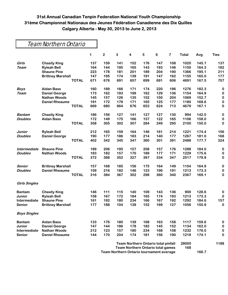### Team Northern Ontario

|                      |                          |              | 1   | $\overline{\mathbf{c}}$ | 3                                          | 4                                        | 5   | 6   | 7     | <b>Total</b> | Avg   | <b>Ties</b> |
|----------------------|--------------------------|--------------|-----|-------------------------|--------------------------------------------|------------------------------------------|-----|-----|-------|--------------|-------|-------------|
| Girls                | <b>Chasity King</b>      |              | 137 | 159                     | 141                                        | 152                                      | 176 | 147 | 108   | 1020         | 145.7 | 137         |
| <b>Team</b>          | <b>Ryleah Bell</b>       |              | 164 | 144                     | 195                                        | 165                                      | 143 | 193 | 146   | 1150         | 164.3 | 182         |
|                      | <b>Shaune Pine</b>       |              | 223 | 178                     | 181                                        | 201                                      | 189 | 204 | 190   | 1366         | 195.1 | 211         |
|                      | <b>Brittney Marshall</b> |              | 147 | 195                     | 174                                        | 139                                      | 191 | 147 | 162   | 1155         | 165.0 | 177         |
|                      |                          | <b>TOTAL</b> | 671 | 676                     | 691                                        | 657                                      | 699 | 691 | 606   | 4691         | 167.5 | 707         |
| <b>Boys</b>          | <b>Aidan Bass</b>        |              | 160 | 189                     | 166                                        | 171                                      | 174 | 220 | 196   | 1276         | 182.3 | 0           |
| <b>Team</b>          | <b>Daniel George</b>     |              | 173 | 162                     | 193                                        | 199                                      | 162 | 129 | 136   | 1154         | 164.9 | $\bf{0}$    |
|                      | <b>Nathan Woods</b>      |              | 145 | 157                     | 126                                        | 135                                      | 152 | 150 | 204   | 1069         | 152.7 | $\bf{0}$    |
|                      | <b>Daniel Rheaume</b>    |              | 191 | 172                     | 179                                        | 171                                      | 165 | 125 | 177   | 1180         | 168.6 | $\bf{0}$    |
|                      |                          | <b>TOTAL</b> | 669 | 680                     | 664                                        | 676                                      | 653 | 624 | 713   | 4679         | 167.1 | $\bf{0}$    |
| <b>Bantam</b>        | <b>Chasity King</b>      |              | 186 | 156                     | 127                                        | 141                                      | 127 | 127 | 130   | 994          | 142.0 | $\bf{0}$    |
| <b>Doubles</b>       | <b>Aidan Bass</b>        |              | 172 | 149                     | 175                                        | 166                                      | 157 | 122 | 165   | 1106         | 158.0 | $\bf{0}$    |
|                      |                          | <b>TOTAL</b> | 358 | 305                     | 302                                        | 307                                      | 284 | 249 | 295   | 2100         | 150.0 | 0           |
| Junior               | <b>Ryleah Bell</b>       |              | 212 | 165                     | 159                                        | 164                                      | 146 | 161 | 214   | 1221         | 174.4 | 156         |
| <b>Doubles</b>       | <b>Daniel George</b>     |              | 190 | 177                     | 186                                        | 183                                      | 214 | 140 | 177   | 1267         | 181.0 | 168         |
|                      |                          | <b>TOTAL</b> | 402 | 342                     | 345                                        | 347                                      | 360 | 301 | 391   | 2488         | 177.7 | 324         |
| Intermediate         | <b>Shaune Pine</b>       |              | 189 | 206                     | 195                                        | 157                                      | 208 | 157 | 176   | 1288         | 184.0 | $\bf{0}$    |
| <b>Doubles</b>       | <b>Nathan Woods</b>      |              | 183 | 182                     | 157                                        | 170                                      | 189 | 177 | 171   | 1229         | 175.6 | $\bf{0}$    |
|                      |                          | <b>TOTAL</b> | 372 | 388                     | 352                                        | 327                                      | 397 | 334 | 347   | 2517         | 179.8 | $\bf{0}$    |
| Senior               | <b>Brittney Marshall</b> |              | 157 | 168                     | 185                                        | 156                                      | 175 | 164 | 149   | 1154         | 164.9 | 0           |
| <b>Doubles</b>       | <b>Daniel Rheaume</b>    |              | 159 | 216                     | 182                                        | 146                                      | 123 | 196 | 191   | 1213         | 173.3 | 0           |
|                      |                          | <b>TOTAL</b> | 316 | 384                     | 367                                        | 302                                      | 298 | 360 | 340   | 2367         | 169.1 | 0           |
| <b>Girls Singles</b> |                          |              |     |                         |                                            |                                          |     |     |       |              |       |             |
| <b>Bantam</b>        | <b>Chasity King</b>      |              | 146 | 111                     | 115                                        | 140                                      | 109 | 143 | 136   | 900          | 128.6 | 0           |
| Junior               | <b>Ryleah Bell</b>       |              | 158 | 167                     | 172                                        | 184                                      | 165 | 174 | 193   | 1213         | 173.3 | $\bf{0}$    |
| Intermediate         | <b>Shaune Pine</b>       |              | 161 | 192                     | 180                                        | 234                                      | 166 | 167 | 192   | 1292         | 184.6 | 157         |
| Senior               | <b>Brittney Marshall</b> |              | 177 | 188                     | 104                                        | 139                                      | 152 | 169 | 127   | 1056         | 150.9 | 0           |
| <b>Boys Singles</b>  |                          |              |     |                         |                                            |                                          |     |     |       |              |       |             |
| <b>Bantam</b>        | <b>Aidan Bass</b>        |              | 133 | 176                     | 180                                        | 139                                      | 168 | 163 | 158   | 1117         | 159.6 | 0           |
| Junior               | <b>Daniel George</b>     |              | 147 | 144                     | 186                                        | 178                                      | 182 | 145 | 152   | 1134         | 162.0 | 0           |
| Intermediate         | <b>Nathan Woods</b>      |              | 212 | 123                     | 157                                        | 180                                      | 234 | 168 | 158   | 1232         | 176.0 | 0           |
| Senior               | <b>Daniel Rheaume</b>    |              | 144 | 170                     | 204                                        | 174                                      | 181 | 156 | 190   | 1219         | 174.1 | 0           |
|                      |                          |              |     |                         | <b>Team Northern Ontario total pinfall</b> |                                          |     |     | 28005 |              | 1188  |             |
|                      |                          |              |     |                         |                                            | <b>Team Northern Ontario total games</b> |     |     |       | 168          |       |             |

**Team Northern Ontario tournament average 166.7**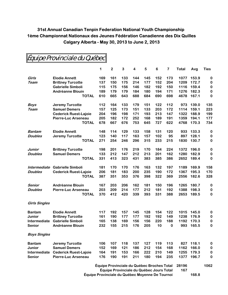|                      |                              | 1   | $\mathbf 2$ | 3   | 4   | 5                                          | 6   | $\overline{\mathbf{r}}$ | Total | Avg   | <b>Ties</b> |
|----------------------|------------------------------|-----|-------------|-----|-----|--------------------------------------------|-----|-------------------------|-------|-------|-------------|
| Girls                | <b>Elodie Annett</b>         | 169 | 161         | 133 | 144 | 145                                        | 152 | 173                     | 1077  | 153.9 | 0           |
| Team                 | <b>Brittney Turcotte</b>     | 137 | 150         | 175 | 214 | 177                                        | 152 | 204                     | 1209  | 172.7 | 0           |
|                      | <b>Gabrielle Simboli</b>     | 115 | 175         | 156 | 146 | 182                                        | 192 | 150                     | 1116  | 159.4 | 0           |
|                      | <b>Andréanne Blouin</b>      | 189 | 179         | 179 | 184 | 180                                        | 194 | 171                     | 1276  | 182.3 | 0           |
|                      | <b>TOTAL</b>                 | 610 | 665         | 643 | 688 | 684                                        | 690 | 698                     | 4678  | 167.1 | 0           |
| Boys                 | <b>Jeremy Turcotte</b>       | 112 | 164         | 133 | 179 | 151                                        | 122 | 112                     | 973   | 139.0 | 135         |
| <b>Team</b>          | <b>Samuel Demers</b>         | 157 | 125         | 173 | 151 | 133                                        | 203 | 172                     | 1114  | 159.1 | 223         |
|                      | <b>Cederick Ruest-Lajoie</b> | 204 | 196         | 198 | 171 | 193                                        | 213 | 147                     | 1322  | 188.9 | 199         |
|                      | Pierre-Luc Arseneau          | 205 | 182         | 172 | 252 | 168                                        | 189 | 191                     | 1359  | 194.1 | 177         |
|                      | <b>TOTAL</b>                 | 678 | 667         | 676 | 753 | 645                                        | 727 | 622                     | 4768  | 170.3 | 734         |
| Bantam               | <b>Elodie Annett</b>         | 148 | 114         | 129 | 133 | 158                                        | 131 | 120                     | 933   | 133.3 | 0           |
| <b>Doubles</b>       | <b>Jeremy Turcotte</b>       | 123 | 140         | 117 | 163 | 157                                        | 102 | 95                      | 897   | 128.1 | 0           |
|                      | <b>TOTAL</b>                 | 271 | 254         | 246 | 296 | 315                                        | 233 | 215                     | 1830  | 130.7 | 0           |
| Junior               | <b>Brittney Turcotte</b>     | 198 | 201         | 176 | 219 | 170                                        | 184 | 224                     | 1372  | 196.0 | 0           |
| <b>Doubles</b>       | <b>Samuel Demers</b>         | 133 | 212         | 147 | 212 | 213                                        | 201 | 162                     | 1280  | 182.9 | 0           |
|                      | <b>TOTAL</b>                 | 331 | 413         | 323 | 431 | 383                                        | 385 | 386                     | 2652  | 189.4 | 0           |
| Intermediate         | <b>Gabrielle Simboli</b>     | 181 | 170         | 170 | 176 | 163                                        | 132 | 197                     | 1189  | 169.9 | 158         |
| <b>Doubles</b>       | <b>Cederick Ruest-Lajoie</b> | 206 | 181         | 183 | 200 | 235                                        | 190 | 172                     | 1367  | 195.3 | 170         |
|                      | <b>TOTAL</b>                 | 387 | 351         | 353 | 376 | 398                                        | 322 | 369                     | 2556  | 182.6 | 328         |
| Senior               | <b>Andréanne Blouin</b>      | 167 | 203         | 206 | 162 | 181                                        | 150 | 196                     | 1265  | 180.7 | 0           |
| <b>Doubles</b>       | Pierre-Luc Arseneau          | 203 | 209         | 214 | 177 | 212                                        | 181 | 192                     | 1388  | 198.3 | 0           |
|                      | <b>TOTAL</b>                 | 370 | 412         | 420 | 339 | 393                                        | 331 | 388                     | 2653  | 189.5 | $\bf{0}$    |
| <b>Girls Singles</b> |                              |     |             |     |     |                                            |     |                         |       |       |             |
| <b>Bantam</b>        | <b>Elodie Annett</b>         | 117 | 192         | 157 | 145 | 128                                        | 154 | 122                     | 1015  | 145.0 | 0           |
| Junior               | <b>Brittney Turcotte</b>     | 161 | 190         | 177 | 177 | 192                                        | 192 | 149                     | 1238  | 176.9 | $\bf{0}$    |
| Intermediate         | <b>Gabrielle Simboli</b>     | 165 | 138         | 169 | 156 | 156                                        | 220 | 188                     | 1192  | 170.3 | 0           |
| Senior               | <b>Andréanne Blouin</b>      | 232 | 155         | 215 | 176 | 205                                        | 10  | $\bf{0}$                | 993   | 165.5 | 0           |
| <b>Boys Singles</b>  |                              |     |             |     |     |                                            |     |                         |       |       |             |
| <b>Bantam</b>        | <b>Jeremy Turcotte</b>       | 106 | 107         | 118 | 137 | 127                                        | 119 | 113                     | 827   | 118.1 | 0           |
| Junior               | <b>Samuel Demers</b>         | 152 | 169         | 121 | 186 | 212                                        | 154 | 168                     | 1162  | 166.0 | $\bf{0}$    |
| Intermediate         | <b>Cederick Ruest-Lajoie</b> | 164 | 191         | 153 | 166 | 222                                        | 210 | 149                     | 1255  | 179.3 | $\bf{0}$    |
| <b>Senior</b>        | <b>Pierre-Luc Arseneau</b>   | 176 | 190         | 191 | 211 | 180                                        | 194 | 235                     | 1377  | 196.7 | 0           |
|                      |                              |     |             |     |     | Équipe Provinciale du Québec Broches Total |     |                         | 28196 |       | 1062        |

Équipe Provinciale du Québec

**Équipe Provinciale du Québec Jours Total 167 Équipe Provinciale du Québec Moyenne De Tournoi 168.8**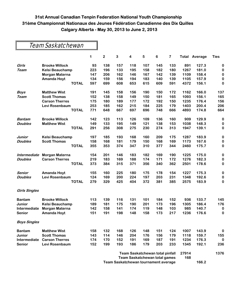### Team Saskatchewan

|                      |                        | 1   | $\mathbf 2$                          | 3   | 4   | 5   | 6                                      | $\overline{\mathbf{7}}$ |       | <b>Total Average</b> | <b>Ties</b> |
|----------------------|------------------------|-----|--------------------------------------|-----|-----|-----|----------------------------------------|-------------------------|-------|----------------------|-------------|
| Girls                | <b>Brooke Willock</b>  | 93  | 138                                  | 157 | 118 | 107 | 145                                    | 133                     | 891   | 127.3                | 0           |
| Team                 | Kelsi Beauchamp        | 223 | 196                                  | 133 | 195 | 158 | 182                                    | 180                     | 1267  | 181.0                | $\bf{0}$    |
|                      | Morgan Materna         | 147 | 206                                  | 162 | 146 | 167 | 142                                    | 139                     | 1109  | 158.4                | $\bf{0}$    |
|                      | <b>Amanda Hoyt</b>     | 134 | 159                                  | 156 | 194 | 183 | 140                                    | 139                     | 1105  | 157.9                | 0           |
|                      | <b>TOTAL</b>           | 597 | 699                                  | 608 | 653 | 615 | 609                                    | 591                     | 4372  | 156.1                | $\bf{0}$    |
| <b>Boys</b>          | <b>Matthew Wist</b>    | 191 | 145                                  | 158 | 156 | 190 | 150                                    | 172                     | 1162  | 166.0                | 137         |
| <b>Team</b>          | <b>Scott Thomas</b>    | 152 | 138                                  | 158 | 149 | 150 | 181                                    | 165                     | 1093  | 156.1                | 165         |
|                      | <b>Carson Therres</b>  | 175 | 180                                  | 189 | 177 | 172 | 192                                    | 150                     | 1235  | 176.4                | 156         |
|                      | Levi Rosenbaum         | 253 | 185                                  | 162 | 215 | 184 | 225                                    | 179                     | 1403  | 200.4                | 206         |
|                      | <b>TOTAL</b>           | 771 | 648                                  | 667 | 697 | 696 | 748                                    | 666                     | 4893  | 174.8                | 664         |
| Bantam               | <b>Brooke Willock</b>  | 142 | 123                                  | 113 | 126 | 109 | 136                                    | 160                     | 909   | 129.9                | 0           |
| <b>Doubles</b>       | <b>Matthew Wist</b>    | 149 | 133                                  | 195 | 149 | 121 | 138                                    | 153                     | 1038  | 148.3                | $\bf{0}$    |
|                      | <b>TOTAL</b>           | 291 | 256                                  | 308 | 275 | 230 | 274                                    | 313                     | 1947  | 139.1                | $\bf{0}$    |
| Junior               | <b>Kelsi Beauchamp</b> | 197 | 185                                  | 193 | 168 | 160 | 209                                    | 175                     | 1287  | 183.9                | $\bf{0}$    |
| <b>Doubles</b>       | <b>Scott Thomas</b>    | 158 | 168                                  | 181 | 179 | 150 | 168                                    | 169                     | 1173  | 167.6                | $\bf{0}$    |
|                      | <b>TOTAL</b>           | 355 | 353                                  | 374 | 347 | 310 | 377                                    | 344                     | 2460  | 175.7                | $\bf{0}$    |
| Intermediate         | Morgan Materna         | 154 | 201                                  | 146 | 183 | 182 | 169                                    | 190                     | 1225  | 175.0                | $\bf{0}$    |
| <b>Doubles</b>       | <b>Carson Therres</b>  | 219 | 183                                  | 169 | 188 | 174 | 171                                    | 172                     | 1276  | 182.3                | $\bf{0}$    |
|                      | <b>TOTAL</b>           | 373 | 384                                  | 315 | 371 | 356 | 340                                    | 362                     | 2501  | 178.6                | $\bf{0}$    |
| Senior               | <b>Amanda Hoyt</b>     | 155 | 160                                  | 225 | 180 | 175 | 178                                    | 154                     | 1227  | 175.3                | $\bf{0}$    |
| <b>Doubles</b>       | Levi Rosenbaum         | 124 | 169                                  | 200 | 224 | 197 | 203                                    | 231                     | 1348  | 192.6                | $\bf{0}$    |
|                      | <b>TOTAL</b>           | 279 | 329                                  | 425 | 404 | 372 | 381                                    | 385                     | 2575  | 183.9                | $\bf{0}$    |
| <b>Girls Singles</b> |                        |     |                                      |     |     |     |                                        |                         |       |                      |             |
| <b>Bantam</b>        | <b>Brooke Willock</b>  | 113 | 139                                  | 116 | 131 | 101 | 184                                    | 152                     | 936   | 133.7                | 145         |
| Junior               | <b>Kelsi Beauchamp</b> | 189 | 181                                  | 175 | 190 | 201 | 173                                    | 196                     | 1305  | 186.4                | 176         |
| Intermediate         | Morgan Materna         | 142 | 158                                  | 141 | 174 | 119 | 148                                    | 103                     | 985   | 140.7                | 0           |
| Senior               | <b>Amanda Hoyt</b>     | 151 | 191                                  | 198 | 148 | 158 | 173                                    | 217                     | 1236  | 176.6                | 0           |
| <b>Boys Singles</b>  |                        |     |                                      |     |     |     |                                        |                         |       |                      |             |
| <b>Bantam</b>        | <b>Matthew Wist</b>    | 158 | 132                                  | 168 | 126 | 148 | 151                                    | 124                     | 1007  | 143.9                | $\bf{0}$    |
| Junior               | <b>Scott Thomas</b>    | 143 | 114                                  | 146 | 204 | 176 | 156                                    | 179                     | 1118  | 159.7                | 155         |
| Intermediate         | <b>Carson Therres</b>  | 174 | 170                                  | 152 | 191 | 169 | 187                                    | 191                     | 1234  | 176.3                | $\bf{0}$    |
| Senior               | Levi Rosenbaum         | 152 | 199                                  | 193 | 186 | 179 | 203                                    | 233                     | 1345  | 192.1                | 236         |
|                      |                        |     |                                      |     |     |     | <b>Team Saskatchewan total pinfall</b> |                         | 27914 |                      | 1376        |
|                      |                        |     | <b>Team Saskatchewan total games</b> |     |     |     |                                        |                         | 168   |                      |             |
|                      |                        |     |                                      |     |     |     | Team Saskatchewan tournament average   |                         |       | 166.2                |             |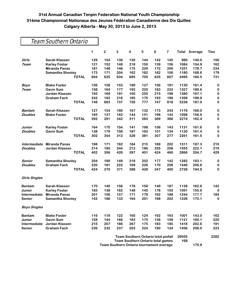|                      | Team Southern Ontario   |                     |              |              |                         |     |     |     |      |                      |             |
|----------------------|-------------------------|---------------------|--------------|--------------|-------------------------|-----|-----|-----|------|----------------------|-------------|
|                      |                         | 1                   | $\mathbf{2}$ | $\mathbf{3}$ | $\overline{\mathbf{4}}$ | 5   | 6   | 7   |      | <b>Total Average</b> | <b>Ties</b> |
| Girls                | <b>Sarah Klassen</b>    | 129                 | 154          | 136          | 130                     | 144 | 142 | 145 | 980  | 140.0                | 156         |
| <b>Team</b>          | <b>Karley Foster</b>    | 121                 | 152          | 148          | 218                     | 150 | 139 | 156 | 1084 | 154.9                | 162         |
|                      | <b>Miranda Panas</b>    | 181                 | 148          | 146          | 175                     | 229 | 172 | 200 | 1251 | 178.7                | 234         |
|                      | <b>Samantha Shonley</b> | 173                 | 171          | 204          | 162                     | 182 | 182 | 106 | 1180 | 168.6                | 179         |
|                      |                         | <b>TOTAL</b><br>604 | 625          | 634          | 685                     | 705 | 635 | 607 | 4495 | 160.5                | 731         |
| <b>Boys</b>          | <b>Blake Foster</b>     | 156                 | 158          | 153          | 189                     | 127 | 156 | 191 | 1130 | 161.4                | 0           |
| Team                 | <b>Gavin Sum</b>        | 158                 | 164          | 177          | 192                     | 220 | 183 | 233 | 1327 | 189.6                | 0           |
|                      | Jordan Klassen          | 192                 | 169          | 191          | 160                     | 255 | 215 | 198 | 1380 | 197.1                | 0           |
|                      | <b>Graham Fach</b>      | 242                 | 192          | 216          | 185                     | 175 | 193 | 196 | 1399 | 199.9                | 0           |
|                      |                         | <b>TOTAL</b><br>748 | 683          | 737          | 726                     | 777 | 747 | 818 | 5236 | 187.0                | 0           |
| Bantam               | Sarah Klassen           | 127                 | 154          | 180          | 167                     | 132 | 173 | 243 | 1176 | 168.0                | 0           |
| <b>Doubles</b>       | <b>Blake Foster</b>     | 165                 | 137          | 162          | 144                     | 151 | 196 | 143 | 1098 | 156.9                | 0           |
|                      |                         | <b>TOTAL</b><br>292 | 291          | 342          | 311                     | 283 | 369 | 386 | 2274 | 162.4                | 0           |
| Junior               | <b>Karley Foster</b>    | 164                 | 175          | 154          | 141                     | 198 | 156 | 143 | 1131 | 161.6                | 0           |
| <b>Doubles</b>       | <b>Gavin Sum</b>        | 138                 | 179          | 158          | 187                     | 183 | 151 | 134 | 1130 | 161.4                | 0           |
|                      |                         | <b>TOTAL</b><br>302 | 354          | 312          | 328                     | 381 | 307 | 277 | 2261 | 161.5                | 0           |
| Intermediate         | <b>Miranda Panas</b>    | 188                 | 171          | 182          | 184                     | 215 | 169 | 202 | 1311 | 187.3                | 210         |
| <b>Doubles</b>       | Jordan Klassen          | 214                 | 185          | 244          | 213                     | 186 | 255 | 258 | 1555 | 222.1                | 219         |
|                      |                         | <b>TOTAL</b><br>402 | 356          | 426          | 397                     | 401 | 424 | 460 | 2866 | 204.7                | 429         |
| Senior               | <b>Samantha Shonley</b> | 204                 | 189          | 149          | 219                     | 202 | 177 | 142 | 1282 | 183.1                | 0           |
| <b>Doubles</b>       | <b>Graham Fach</b>      | 220                 | 181          | 222          | 169                     | 226 | 170 | 258 | 1446 | 206.6                | 0           |
|                      |                         | <b>TOTAL</b><br>424 | 370          | 371          | 388                     | 428 | 347 | 400 | 2728 | 194.9                | 0           |
| <b>Girls Singles</b> |                         |                     |              |              |                         |     |     |     |      |                      |             |
| <b>Bantam</b>        | <b>Sarah Klassen</b>    | 170                 | 140          | 156          | 178                     | 158 | 149 | 187 | 1138 | 162.6                | 142         |
| Junior               | <b>Karley Foster</b>    | 165                 | 138          | 162          | 148                     | 145 | 178 | 155 | 1091 | 155.9                | 0           |
| Intermediate         | <b>Miranda Panas</b>    | 201                 | 156          | 157          | 171                     | 179 | 192 | 188 | 1244 | 177.7                | 184         |
| <b>Senior</b>        | <b>Samantha Shonley</b> | 142                 | 186          | 133          | 164                     | 201 | 198 | 202 | 1226 | 175.1                | 0           |
| <b>Boys Singles</b>  |                         |                     |              |              |                         |     |     |     |      |                      |             |
| <b>Bantam</b>        | <b>Blake Foster</b>     | 116                 | 119          | 122          | 165                     | 124 | 192 | 163 | 1001 | 143.0                | 162         |
| Junior               | <b>Gavin Sum</b>        | 158                 | 144          | 166          | 183                     | 175 | 136 | 159 | 1121 | 160.1                | 220         |
| Intermediate         | Jordan Klassen          | 215                 | 207          | 186          | 267                     | 175 | 183 | 185 | 1418 | 202.6                | 191         |
| <b>Senior</b>        | <b>Graham Fach</b>      | 236                 | 232          | 237          | 203                     | 224 | 190 | 134 | 1456 | 208.0                | 223         |

**Team Southern Ontario total pinfall 29555 2282 Team Southern Ontario total games 168 Team Southern Ontario tournament average 175.9**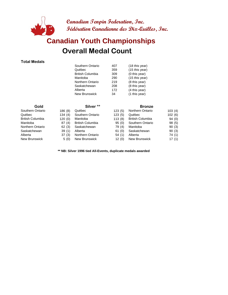

## **Overall Medal Count Canadian Youth Championships**

#### **Total Medals**

| Southern Ontario        | 407 | (18 this year) |
|-------------------------|-----|----------------|
| Québec                  | 359 | (15 this year) |
| <b>British Columbia</b> | 309 | (0 this year)  |
| Manitoba                | 290 | (15 this year) |
| Northern Ontario        | 219 | (8 this year)  |
| Saskatchewan            | 208 | (8 this year)  |
| Alberta                 | 172 | (4 this year)  |
| New Brunswick           | 34  | (1 this year)  |

| Gold             |         | Silver <sup>**</sup>    |        | <b>Bronze</b>           |        |
|------------------|---------|-------------------------|--------|-------------------------|--------|
| Southern Ontario | 186 (8) | Québec                  | 123(5) | <b>Northern Ontario</b> | 103(4) |
| Québec           | 134(4)  | Southern Ontario        | 123(5) | Québec                  | 102(6) |
| British Columbia | 120(0)  | Manitoba                | 113(8) | <b>British Columbia</b> | 94(0)  |
| Manitoba         | 87(4)   | <b>British Columbia</b> | 95(0)  | Southern Ontario        | 98(5)  |
| Northern Ontario | 62(3)   | Saskatchewan            | 79 (4) | Manitoba                | 90(3)  |
| Saskatchewan     | 39(1)   | Alberta                 | 61(0)  | Saskatchewan            | 90(3)  |
| Alberta          | 37(3)   | Northern Ontario        | 54(1)  | Alberta                 | 74 (1) |
| New Brunswick    | 5(0)    | <b>New Brunswick</b>    | 12(0)  | <b>New Brunswick</b>    | 17(1)  |

**\*\* NB: Silver 1996 tied All-Events, duplicate medals awarded**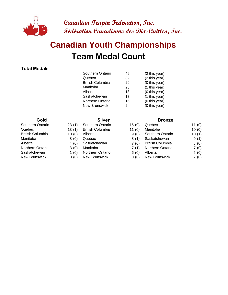

# **Team Medal Count Canadian Youth Championships**

#### **Total Medals**

| Southern Ontario        | 49 | (2 this year) |
|-------------------------|----|---------------|
| Québec                  | 32 | (2 this year) |
| <b>British Columbia</b> | 29 | (0 this year) |
| Manitoba                | 25 | (1 this year) |
| Alberta                 | 18 | (0 this year) |
| Saskatchewan            | 17 | (1 this year) |
| Northern Ontario        | 16 | (0 this year) |
| <b>New Brunswick</b>    | 2  | (0 this year) |
|                         |    |               |

- Southern Ontario 23 (1) Southern Ontario
	-
	-
	-
	-
	-
- Saskatchewan 1 (0) Northern Ontario
- New Brunswick 0 (0) New Brunswick

#### **Gold Silver Silver Bronze**

| Southern Ontario        | 16(0)    | Québec                  | 11(0) |
|-------------------------|----------|-------------------------|-------|
| <b>British Columbia</b> | 11 $(0)$ | Manitoba                | 10(0) |
| Alberta                 | 9(0)     | Southern Ontario        | 10(1) |
| Québec                  | 8(1)     | Saskatchewan            | 9(1)  |
| Saskatchewan            | 7(0)     | <b>British Columbia</b> | 8(0)  |
| Manitoba                | 7(1)     | <b>Northern Ontario</b> | 7(0)  |
| Northern Ontario        | 6(0)     | Alberta                 | 5(0)  |
| New Brunswick           | 0(0)     | <b>New Brunswick</b>    | 2(0)  |
|                         |          |                         |       |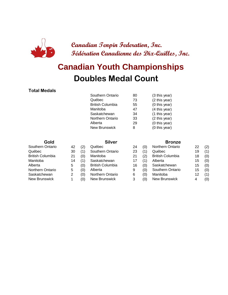

# **Doubles Medal Count Canadian Youth Championships**

#### **Total Medals**

| Southern Ontario        | 80 | (3 this year) |
|-------------------------|----|---------------|
| Québec                  | 73 | (2 this year) |
| <b>British Columbia</b> | 55 | (0 this year) |
| Manitoba                | 47 | (4 this year) |
| Saskatchewan            | 34 | (1 this year) |
| Northern Ontario        | 33 | (2 this year) |
| Alberta                 | 29 | (0 this year) |
| <b>New Brunswick</b>    | 8  | (0 this year) |
|                         |    |               |

| Gold             |    |     | <b>Silver</b>           |    |     | <b>Bronze</b>           |    |     |  |
|------------------|----|-----|-------------------------|----|-----|-------------------------|----|-----|--|
| Southern Ontario | 42 | (2) | Québec                  | 24 | (0) | Northern Ontario        | 22 | (2) |  |
| Québec           | 30 | (1) | Southern Ontario        | 23 | (1) | Québec                  | 19 | (1) |  |
| British Columbia | 21 | (0) | Manitoba                | 21 | (2) | <b>British Columbia</b> | 18 | (0) |  |
| Manitoba         | 14 | (1) | Saskatchewan            | 17 | (1) | Alberta                 | 15 | (0) |  |
| Alberta          | 5  | (0) | <b>British Columbia</b> | 16 | (0) | Saskatchewan            | 15 | (0) |  |
| Northern Ontario | 5  | (0) | Alberta                 | 9  | (0) | Southern Ontario        | 15 | (0) |  |
| Saskatchewan     | 2  | (0) | Northern Ontario        | 6  | (0) | Manitoba                | 12 | (1) |  |
| New Brunswick    |    | (0) | New Brunswick           | 3  | (0) | <b>New Brunswick</b>    | 4  | (0) |  |
|                  |    |     |                         |    |     |                         |    |     |  |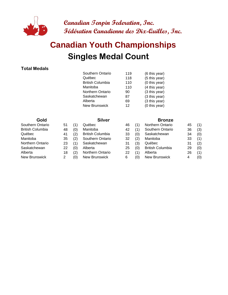

# **Singles Medal Count Canadian Youth Championships**

#### **Total Medals**

| Southern Ontario        |     |               |
|-------------------------|-----|---------------|
|                         | 119 | (6 this year) |
| Québec                  | 118 | (5 this year) |
| <b>British Columbia</b> | 110 | (0 this year) |
| Manitoba                | 110 | (4 this year) |
| <b>Northern Ontario</b> | 90  | (3 this year) |
| Saskatchewan            | 87  | (3 this year) |
| Alberta                 | 69  | (3 this year) |
| <b>New Brunswick</b>    | 12  | (0 this year) |
|                         |     |               |

| Southern Ontario        | 51 |     | Québec                  | 4            |
|-------------------------|----|-----|-------------------------|--------------|
| <b>British Columbia</b> | 48 | (0) | Manitoba                | 4            |
| Québec                  | 41 | (2) | <b>British Columbia</b> | 3            |
| Manitoba                | 35 | (2) | Southern Ontario        | 3            |
| <b>Northern Ontario</b> | 23 | (1) | Saskatchewan            | 3            |
| Saskatchewan            | 22 | (0) | Alberta                 | $\mathbf{2}$ |
| Alberta                 | 18 | (2) | <b>Northern Ontario</b> | $\mathbf{2}$ |
| New Brunswick           |    | ٬۵۱ | New Brunswick           | ี            |

#### **Gold Silver Silver Bronze**

| Southern Ontario | 51 | (1) | Québec                  | 46 |     | <b>Northern Ontario</b> | 45 | (1) |
|------------------|----|-----|-------------------------|----|-----|-------------------------|----|-----|
| British Columbia | 48 | (0) | Manitoba                | 42 |     | Southern Ontario        | 36 | (3) |
| Québec           | 41 | (2) | <b>British Columbia</b> | 33 | (0) | Saskatchewan            | 34 | (0) |
| Manitoba         | 35 | (2) | Southern Ontario        | 32 | (2) | Manitoba                | 33 | (1) |
| Northern Ontario | 23 | (1) | Saskatchewan            | 31 | (3) | Québec                  | 31 | (2) |
| Saskatchewan     | 22 | (0) | Alberta                 | 25 | (0) | <b>British Columbia</b> | 29 | (0) |
| Alberta          | 18 | (2) | <b>Northern Ontario</b> | 22 | (1) | Alberta                 | 26 | (1) |
| New Brunswick    |    | (0) | New Brunswick           | 6  | (0) | New Brunswick           | 4  | (0) |
|                  |    |     |                         |    |     |                         |    |     |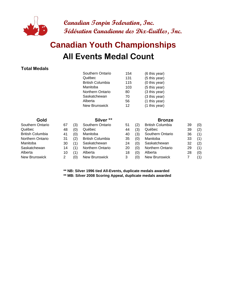

# **All Events Medal Count Canadian Youth Championships**

#### **Total Medals**

|                  |    |     | Southern Ontario        | 154 |     | (6 this year)           |    |     |
|------------------|----|-----|-------------------------|-----|-----|-------------------------|----|-----|
|                  |    |     | Québec                  | 131 |     | (5 this year)           |    |     |
|                  |    |     | <b>British Columbia</b> | 115 |     | (0 this year)           |    |     |
|                  |    |     | Manitoba                | 103 |     | (5 this year)           |    |     |
|                  |    |     | Northern Ontario        | 80  |     | (3 this year)           |    |     |
|                  |    |     | Saskatchewan            | 70  |     | (3 this year)           |    |     |
|                  |    |     | Alberta                 | 56  |     | (1 this year)           |    |     |
|                  |    |     | <b>New Brunswick</b>    | 12  |     | (1 this year)           |    |     |
| Gold             |    |     | Silver <sup>**</sup>    |     |     | <b>Bronze</b>           |    |     |
| Southern Ontario | 67 | (3) | Southern Ontario        | 51  | (2) | <b>British Columbia</b> | 39 | (0) |
| Québec           | 48 | (0) | Québec                  | 44  | (3) | Québec                  | 39 | (2) |
| British Columbia | 41 | (0) | Manitoba                | 40  | (3) | Southern Ontario        | 36 | (1) |
| Northern Ontario | 31 | (2) | <b>British Columbia</b> | 35  | (0) | Manitoba                | 33 | (1) |
| Manitoba         | 30 | (1) | Saskatchewan            | 24  | (0) | Saskatchewan            | 32 | (2) |
| Saskatchewan     | 14 | (1) | <b>Northern Ontario</b> | 20  | (0) | Northern Ontario        | 29 | (1) |
| Alberta          | 10 | (1) | Alberta                 | 18  | (0) | Alberta                 | 28 | (0) |
| New Brunswick    | 2  | (0) | New Brunswick           | 3   | (0) | New Brunswick           | 7  | (1) |

**\*\* NB: Silver 1996 tied All-Events, duplicate medals awarded**

**\*\* MB: Silver 2008 Scoring Appeal, duplicate medals awarded**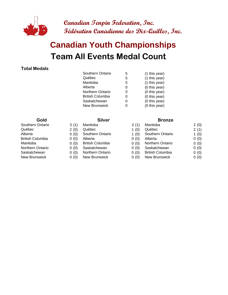

# **Team All Events Medal Count Canadian Youth Championships**

#### **Total Medals**

| Southern Ontario        | 5 | (1 this year) |
|-------------------------|---|---------------|
| Québec                  | 5 | (1 this year) |
| Manitoba                | 5 | (1 this year) |
| Alberta                 | O | (0 this year) |
| <b>Northern Ontario</b> | O | (0 this year) |
| <b>British Columbia</b> | ი | (0 this year) |
| Saskatchewan            | O | (0 this year) |
| New Brunswick           |   | (0 this year) |
|                         |   |               |

- 
- 
- 
- 
- Northern Ontario 0 (0) Saskatchewan
	-
- New Brunswick 0 (0) New Brunswick

#### **Gold Silver Silver Bronze**

| Southern Ontario | 3(1) | Manitoba                | 3(1)    | Manitoba                | 2(0) |
|------------------|------|-------------------------|---------|-------------------------|------|
| Québec           | 2(0) | Québec                  | 1(0)    | Québec                  | 2(1) |
| Alberta          | 0(0) | Southern Ontario        | 1 $(0)$ | Southern Ontario        | 1(0) |
| British Columbia | 0(0) | Alberta                 | 0(0)    | Alberta                 | 0(0) |
| Manitoba         | 0(0) | <b>British Columbia</b> | 0(0)    | Northern Ontario        | 0(0) |
| Northern Ontario | 0(0) | Saskatchewan            | 0(0)    | Saskatchewan            | 0(0) |
| Saskatchewan     | 0(0) | Northern Ontario        | 0(0)    | <b>British Columbia</b> | 0(0) |
| New Brunswick    | 0(0) | New Brunswick           | 0(0)    | New Brunswick           | 0(0) |
|                  |      |                         |         |                         |      |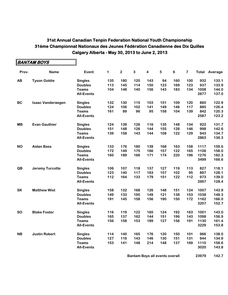|           | BANTAM BOYS              |                   |     |              |     |     |     |     |     |      |                      |
|-----------|--------------------------|-------------------|-----|--------------|-----|-----|-----|-----|-----|------|----------------------|
| Prov.     | <b>Name</b>              | Event             | 1   | $\mathbf{2}$ | 3   | 4   | 5   | 6   | 7   |      | <b>Total Average</b> |
| AB        | <b>Tyson Goldie</b>      | <b>Singles</b>    | 135 | 180          | 120 | 143 | 94  | 160 | 100 | 932  | 133.1                |
|           |                          | <b>Doubles</b>    | 113 | 145          | 114 | 150 | 123 | 169 | 123 | 937  | 133.9                |
|           |                          | <b>Teams</b>      | 104 | 148          | 140 | 156 | 143 | 183 | 134 | 1008 | 144.0                |
|           |                          | <b>All-Events</b> |     |              |     |     |     |     |     | 2877 | 137.0                |
| <b>BC</b> | <b>Isaac Vanderaegen</b> | <b>Singles</b>    | 132 | 130          | 115 | 103 | 151 | 109 | 120 | 860  | 122.9                |
|           |                          | <b>Doubles</b>    | 124 | 106          | 102 | 141 | 149 | 146 | 117 | 885  | 126.4                |
|           |                          | <b>Teams</b>      | 161 | 89           | 96  | 95  | 158 | 104 | 139 | 842  | 120.3                |
|           |                          | <b>All-Events</b> |     |              |     |     |     |     |     | 2587 | 123.2                |
| <b>MB</b> | <b>Evan Gauthier</b>     | <b>Singles</b>    | 124 | 139          | 126 | 116 | 135 | 148 | 134 | 922  | 131.7                |
|           |                          | <b>Doubles</b>    | 151 | 148          | 126 | 144 | 155 | 128 | 146 | 998  | 142.6                |
|           |                          | <b>Teams</b>      | 139 | 158          | 143 | 144 | 108 | 122 | 129 | 943  | 134.7                |
|           |                          | <b>All-Events</b> |     |              |     |     |     |     |     | 2863 | 136.3                |
| <b>NO</b> | <b>Aidan Bass</b>        | <b>Singles</b>    | 133 | 176          | 180 | 139 | 168 | 163 | 158 | 1117 | 159.6                |
|           |                          | <b>Doubles</b>    | 172 | 149          | 175 | 166 | 157 | 122 | 165 | 1106 | 158.0                |
|           |                          | <b>Teams</b>      | 160 | 189          | 166 | 171 | 174 | 220 | 196 | 1276 | 182.3                |
|           |                          | <b>All-Events</b> |     |              |     |     |     |     |     | 3499 | 166.6                |
| QB        | <b>Jeremy Turcotte</b>   | <b>Singles</b>    | 106 | 107          | 118 | 137 | 127 | 119 | 113 | 827  | 118.1                |
|           |                          | <b>Doubles</b>    | 123 | 140          | 117 | 163 | 157 | 102 | 95  | 897  | 128.1                |
|           |                          | <b>Teams</b>      | 112 | 164          | 133 | 179 | 151 | 122 | 112 | 973  | 139.0                |
|           |                          | <b>All-Events</b> |     |              |     |     |     |     |     | 2697 | 128.4                |
| SK        | <b>Matthew Wist</b>      | <b>Singles</b>    | 158 | 132          | 168 | 126 | 148 | 151 | 124 | 1007 | 143.9                |
|           |                          | <b>Doubles</b>    | 149 | 133          | 195 | 149 | 121 | 138 | 153 | 1038 | 148.3                |
|           |                          | <b>Teams</b>      | 191 | 145          | 158 | 156 | 190 | 150 | 172 | 1162 | 166.0                |
|           |                          | <b>All-Events</b> |     |              |     |     |     |     |     | 3207 | 152.7                |
| <b>SO</b> | <b>Blake Foster</b>      | <b>Singles</b>    | 116 | 119          | 122 | 165 | 124 | 192 | 163 | 1001 | 143.0                |
|           |                          | <b>Doubles</b>    | 165 | 137          | 162 | 144 | 151 | 196 | 143 | 1098 | 156.9                |
|           |                          | <b>Teams</b>      | 156 | 158          | 153 | 189 | 127 | 156 | 191 | 1130 | 161.4                |
|           |                          | <b>All-Events</b> |     |              |     |     |     |     |     | 3229 | 153.8                |
| <b>NB</b> | <b>Justin Robert</b>     | <b>Singles</b>    | 114 | 140          | 165 | 176 | 120 | 150 | 101 | 966  | 138.0                |
|           |                          | <b>Doubles</b>    | 127 | 116          | 143 | 146 | 130 | 151 | 131 | 944  | 134.9                |
|           |                          | <b>Teams</b>      | 153 | 141          | 148 | 214 | 148 | 137 | 169 | 1110 | 158.6                |
|           |                          | <b>All-Events</b> |     |              |     |     |     |     |     | 3020 | 143.8                |
|           |                          |                   |     |              |     |     |     |     |     |      |                      |

**Bantam Boys all events overall <b>1688** 23979 142.7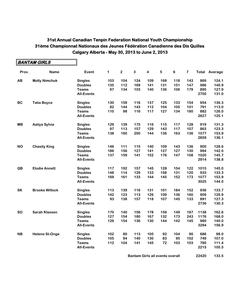$\blacksquare$ 

|           | BANTAM GIRLS          |                   |     |             |     |                         |     |     |     |      |                      |
|-----------|-----------------------|-------------------|-----|-------------|-----|-------------------------|-----|-----|-----|------|----------------------|
| Prov.     | <b>Name</b>           | Event             | 1   | $\mathbf 2$ | 3   | $\overline{\mathbf{4}}$ | 5   | 6   | 7   |      | <b>Total Average</b> |
| AB        | <b>Molly Nimchuk</b>  | <b>Singles</b>    | 103 | 104         | 124 | 109                     | 168 | 118 | 143 | 869  | 124.1                |
|           |                       | <b>Doubles</b>    | 135 | 112         | 169 | 141                     | 131 | 151 | 147 | 986  | 140.9                |
|           |                       | <b>Teams</b>      | 97  | 134         | 103 | 140                     | 136 | 106 | 179 | 895  | 127.9                |
|           |                       | <b>All-Events</b> |     |             |     |                         |     |     |     | 2750 | 131.0                |
| <b>BC</b> | <b>Talia Boyce</b>    | <b>Singles</b>    | 130 | 159         | 116 | 137                     | 125 | 133 | 154 | 954  | 136.3                |
|           |                       | <b>Doubles</b>    | 82  | 144         | 143 | 112                     | 104 | 105 | 101 | 791  | 113.0                |
|           |                       | <b>Teams</b>      | 110 | 98          | 116 | 117                     | 127 | 134 | 180 | 882  | 126.0                |
|           |                       | <b>All-Events</b> |     |             |     |                         |     |     |     | 2627 | 125.1                |
| <b>MB</b> | Aaliya Sylvia         | <b>Singles</b>    | 129 | 139         | 175 | 116                     | 115 | 117 | 128 | 919  | 131.3                |
|           |                       | <b>Doubles</b>    | 97  | 113         | 157 | 129                     | 143 | 117 | 107 | 863  | 123.3                |
|           |                       | <b>Teams</b>      | 138 | 160         | 200 | 144                     | 136 | 163 | 136 | 1077 | 153.9                |
|           |                       | <b>All-Events</b> |     |             |     |                         |     |     |     | 2859 | 136.1                |
| <b>NO</b> | <b>Chasity King</b>   | <b>Singles</b>    | 146 | 111         | 115 | 140                     | 109 | 143 | 136 | 900  | 128.6                |
|           |                       | <b>Doubles</b>    | 186 | 156         | 127 | 141                     | 127 | 127 | 130 | 994  | 142.0                |
|           |                       | <b>Teams</b>      | 137 | 159         | 141 | 152                     | 176 | 147 | 108 | 1020 | 145.7                |
|           |                       | <b>All-Events</b> |     |             |     |                         |     |     |     | 2914 | 138.8                |
| QB        | <b>Elodie Annett</b>  | <b>Singles</b>    | 117 | 192         | 157 | 145                     | 128 | 154 | 122 | 1015 | 145.0                |
|           |                       | <b>Doubles</b>    | 148 | 114         | 129 | 133                     | 158 | 131 | 120 | 933  | 133.3                |
|           |                       | <b>Teams</b>      | 169 | 161         | 133 | 144                     | 145 | 152 | 173 | 1077 | 153.9                |
|           |                       | <b>All-Events</b> |     |             |     |                         |     |     |     | 3025 | 144.0                |
| <b>SK</b> | <b>Brooke Willock</b> | <b>Singles</b>    | 113 | 139         | 116 | 131                     | 101 | 184 | 152 | 936  | 133.7                |
|           |                       | <b>Doubles</b>    | 142 | 123         | 113 | 126                     | 109 | 136 | 160 | 909  | 129.9                |
|           |                       | <b>Teams</b>      | 93  | 138         | 157 | 118                     | 107 | 145 | 133 | 891  | 127.3                |
|           |                       | <b>All-Events</b> |     |             |     |                         |     |     |     | 2736 | 130.3                |
| <b>SO</b> | <b>Sarah Klassen</b>  | <b>Singles</b>    | 170 | 140         | 156 | 178                     | 158 | 149 | 187 | 1138 | 162.6                |
|           |                       | <b>Doubles</b>    | 127 | 154         | 180 | 167                     | 132 | 173 | 243 | 1176 | 168.0                |
|           |                       | <b>Teams</b>      | 129 | 154         | 136 | 130                     | 144 | 142 | 145 | 980  | 140.0                |
|           |                       | <b>All-Events</b> |     |             |     |                         |     |     |     | 3294 | 156.9                |
| <b>NB</b> | <b>Helene St-Onge</b> | <b>Singles</b>    | 102 | 80          | 113 | 105                     | 92  | 104 | 90  | 686  | 98.0                 |
|           |                       | <b>Doubles</b>    | 105 | 94          | 140 | 130                     | 83  | 95  | 102 | 749  | 107.0                |
|           |                       | <b>Teams</b>      | 112 | 104         | 141 | 145                     | 72  | 103 | 103 | 780  | 111.4                |
|           |                       | <b>All-Events</b> |     |             |     |                         |     |     |     | 2215 | 105.5                |

**Bantam Girls all events overall <b>168 22420** 133.5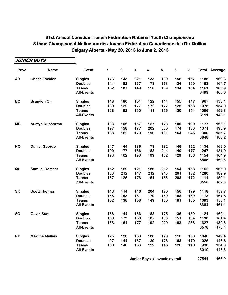|           | JUNIOR BOYS            |                   |             |              |              |                         |            |     |                |      |                      |
|-----------|------------------------|-------------------|-------------|--------------|--------------|-------------------------|------------|-----|----------------|------|----------------------|
| Prov.     | <b>Name</b>            | Event             | $\mathbf 1$ | $\mathbf{2}$ | $\mathbf{3}$ | $\overline{\mathbf{4}}$ | $\sqrt{5}$ | 6   | $\overline{7}$ |      | <b>Total Average</b> |
| AB        | <b>Chase Fockler</b>   | <b>Singles</b>    | 176         | 143          | 221          | 133                     | 190        | 155 | 167            | 1185 | 169.3                |
|           |                        | <b>Doubles</b>    | 144         | 182          | 167          | 173                     | 163        | 134 | 190            | 1153 | 164.7                |
|           |                        | <b>Teams</b>      | 162         | 187          | 149          | 156                     | 189        | 134 | 184            | 1161 | 165.9                |
|           |                        | <b>All-Events</b> |             |              |              |                         |            |     |                | 3499 | 166.6                |
| <b>BC</b> | <b>Brandon On</b>      | <b>Singles</b>    | 148         | 180          | 101          | 122                     | 114        | 155 | 147            | 967  | 138.1                |
|           |                        | <b>Doubles</b>    | 130         | 129          | 177          | 172                     | 177        | 125 | 168            | 1078 | 154.0                |
|           |                        | <b>Teams</b>      | 163         | 192          | 160          | 111                     | 156        | 130 | 154            | 1066 | 152.3                |
|           |                        | <b>All-Events</b> |             |              |              |                         |            |     |                | 3111 | 148.1                |
| <b>MB</b> | <b>Austyn Ducharme</b> | <b>Singles</b>    | 183         | 156          | 157          | 127                     | 178        | 186 | 190            | 1177 | 168.1                |
|           |                        | <b>Doubles</b>    | 197         | 158          | 177          | 202                     | 300        | 174 | 163            | 1371 | 195.9                |
|           |                        | <b>Teams</b>      | 188         | 162          | 170          | 190                     | 181        | 164 | 245            | 1300 | 185.7                |
|           |                        | <b>All-Events</b> |             |              |              |                         |            |     |                | 3848 | 183.2                |
| <b>NO</b> | <b>Daniel George</b>   | <b>Singles</b>    | 147         | 144          | 186          | 178                     | 182        | 145 | 152            | 1134 | 162.0                |
|           |                        | <b>Doubles</b>    | 190         | 177          | 186          | 183                     | 214        | 140 | 177            | 1267 | 181.0                |
|           |                        | <b>Teams</b>      | 173         | 162          | 193          | 199                     | 162        | 129 | 136            | 1154 | 164.9                |
|           |                        | <b>All-Events</b> |             |              |              |                         |            |     |                | 3555 | 169.3                |
| QB        | <b>Samuel Demers</b>   | <b>Singles</b>    | 152         | 169          | 121          | 186                     | 212        | 154 | 168            | 1162 | 166.0                |
|           |                        | <b>Doubles</b>    | 133         | 212          | 147          | 212                     | 213        | 201 | 162            | 1280 | 182.9                |
|           |                        | <b>Teams</b>      | 157         | 125          | 173          | 151                     | 133        | 203 | 172            | 1114 | 159.1                |
|           |                        | <b>All-Events</b> |             |              |              |                         |            |     |                | 3556 | 169.3                |
| <b>SK</b> | <b>Scott Thomas</b>    | <b>Singles</b>    | 143         | 114          | 146          | 204                     | 176        | 156 | 179            | 1118 | 159.7                |
|           |                        | <b>Doubles</b>    | 158         | 168          | 181          | 179                     | 150        | 168 | 169            | 1173 | 167.6                |
|           |                        | <b>Teams</b>      | 152         | 138          | 158          | 149                     | 150        | 181 | 165            | 1093 | 156.1                |
|           |                        | <b>All-Events</b> |             |              |              |                         |            |     |                | 3384 | 161.1                |
| <b>SO</b> | <b>Gavin Sum</b>       | <b>Singles</b>    | 158         | 144          | 166          | 183                     | 175        | 136 | 159            | 1121 | 160.1                |
|           |                        | <b>Doubles</b>    | 138         | 179          | 158          | 187                     | 183        | 151 | 134            | 1130 | 161.4                |
|           |                        | <b>Teams</b>      | 158         | 164          | 177          | 192                     | 220        | 183 | 233            | 1327 | 189.6                |
|           |                        | <b>All-Events</b> |             |              |              |                         |            |     |                | 3578 | 170.4                |
| <b>NB</b> | <b>Maxime Mallais</b>  | <b>Singles</b>    | 125         | 128          | 153          | 186                     | 170        | 116 | 168            | 1046 | 149.4                |
|           |                        | <b>Doubles</b>    | 97          | 144          | 137          | 139                     | 176        | 163 | 170            | 1026 | 146.6                |
|           |                        | <b>Teams</b>      | 138         | 140          | 156          | 122                     | 146        | 126 | 110            | 938  | 134.0                |
|           |                        | <b>All-Events</b> |             |              |              |                         |            |     |                | 3010 | 143.3                |

**Junior Boys all events overall 168 27541 163.9**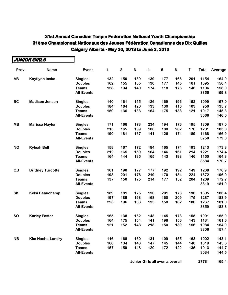|           | JUNIOR GIRLS             |                   |     |     |     |                         |     |         |     |       |         |
|-----------|--------------------------|-------------------|-----|-----|-----|-------------------------|-----|---------|-----|-------|---------|
| Prov.     | <b>Name</b>              | Event             | 1   | 2   | 3   | $\overline{\mathbf{4}}$ | 5   | $\bf 6$ | 7   | Total | Average |
| AB        | <b>Kaytlynn Insko</b>    | <b>Singles</b>    | 132 | 150 | 189 | 139                     | 177 | 166     | 201 | 1154  | 164.9   |
|           |                          | <b>Doubles</b>    | 162 | 155 | 165 | 130                     | 177 | 145     | 161 | 1095  | 156.4   |
|           |                          | <b>Teams</b>      | 158 | 194 | 140 | 174                     | 118 | 176     | 146 | 1106  | 158.0   |
|           |                          | <b>All-Events</b> |     |     |     |                         |     |         |     | 3355  | 159.8   |
| <b>BC</b> | <b>Madison Jensen</b>    | <b>Singles</b>    | 140 | 161 | 155 | 126                     | 169 | 196     | 152 | 1099  | 157.0   |
|           |                          | <b>Doubles</b>    | 184 | 164 | 120 | 133                     | 130 | 116     | 103 | 950   | 135.7   |
|           |                          | <b>Teams</b>      | 150 | 136 | 133 | 164                     | 175 | 138     | 121 | 1017  | 145.3   |
|           |                          | <b>All-Events</b> |     |     |     |                         |     |         |     | 3066  | 146.0   |
| <b>MB</b> | <b>Marissa Naylor</b>    | <b>Singles</b>    | 171 | 166 | 173 | 234                     | 194 | 176     | 195 | 1309  | 187.0   |
|           |                          | <b>Doubles</b>    | 213 | 165 | 159 | 186                     | 180 | 202     | 176 | 1281  | 183.0   |
|           |                          | <b>Teams</b>      | 190 | 181 | 167 | 141                     | 126 | 174     | 189 | 1168  | 166.9   |
|           |                          | <b>All-Events</b> |     |     |     |                         |     |         |     | 3758  | 179.0   |
| <b>NO</b> | <b>Ryleah Bell</b>       | <b>Singles</b>    | 158 | 167 | 172 | 184                     | 165 | 174     | 193 | 1213  | 173.3   |
|           |                          | <b>Doubles</b>    | 212 | 165 | 159 | 164                     | 146 | 161     | 214 | 1221  | 174.4   |
|           |                          | <b>Teams</b>      | 164 | 144 | 195 | 165                     | 143 | 193     | 146 | 1150  | 164.3   |
|           |                          | <b>All-Events</b> |     |     |     |                         |     |         |     | 3584  | 170.7   |
| QB        | <b>Brittney Turcotte</b> | <b>Singles</b>    | 161 | 190 | 177 | 177                     | 192 | 192     | 149 | 1238  | 176.9   |
|           |                          | <b>Doubles</b>    | 198 | 201 | 176 | 219                     | 170 | 184     | 224 | 1372  | 196.0   |
|           |                          | <b>Teams</b>      | 137 | 150 | 175 | 214                     | 177 | 152     | 204 | 1209  | 172.7   |
|           |                          | <b>All-Events</b> |     |     |     |                         |     |         |     | 3819  | 181.9   |
| <b>SK</b> | Kelsi Beauchamp          | <b>Singles</b>    | 189 | 181 | 175 | 190                     | 201 | 173     | 196 | 1305  | 186.4   |
|           |                          | <b>Doubles</b>    | 197 | 185 | 193 | 168                     | 160 | 209     | 175 | 1287  | 183.9   |
|           |                          | <b>Teams</b>      | 223 | 196 | 133 | 195                     | 158 | 182     | 180 | 1267  | 181.0   |
|           |                          | <b>All-Events</b> |     |     |     |                         |     |         |     | 3859  | 183.8   |
| <b>SO</b> | <b>Karley Foster</b>     | <b>Singles</b>    | 165 | 138 | 162 | 148                     | 145 | 178     | 155 | 1091  | 155.9   |
|           |                          | <b>Doubles</b>    | 164 | 175 | 154 | 141                     | 198 | 156     | 143 | 1131  | 161.6   |
|           |                          | Teams             | 121 | 152 | 148 | 218                     | 150 | 139     | 156 | 1084  | 154.9   |
|           |                          | <b>All-Events</b> |     |     |     |                         |     |         |     | 3306  | 157.4   |
| <b>NB</b> | <b>Kim Hache-Landry</b>  | <b>Singles</b>    | 116 | 168 | 160 | 131                     | 109 | 155     | 163 | 1002  | 143.1   |
|           |                          | <b>Doubles</b>    | 166 | 134 | 143 | 147                     | 145 | 144     | 140 | 1019  | 145.6   |
|           |                          | <b>Teams</b>      | 157 | 159 | 148 | 120                     | 172 | 122     | 135 | 1013  | 144.7   |
|           |                          | <b>All-Events</b> |     |     |     |                         |     |         |     | 3034  | 144.5   |

**Junior Girls all events overall 168 27781 165.4**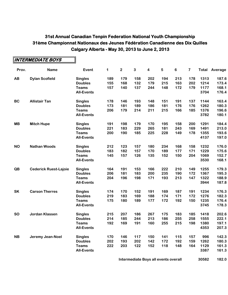$\overline{\phantom{0}}$ 

r.

|           | INTERMEDIATE BOYS            |                   |     |                |              |                         |     |         |                         |       |         |
|-----------|------------------------------|-------------------|-----|----------------|--------------|-------------------------|-----|---------|-------------------------|-------|---------|
| Prov.     | <b>Name</b>                  | Event             | 1   | $\overline{2}$ | $\mathbf{3}$ | $\overline{\mathbf{4}}$ | 5   | $\bf 6$ | $\overline{\mathbf{7}}$ | Total | Average |
| AB        | <b>Dylan Scofield</b>        | <b>Singles</b>    | 189 | 179            | 158          | 202                     | 194 | 213     | 178                     | 1313  | 187.6   |
|           |                              | <b>Doubles</b>    | 155 | 168            | 132          | 179                     | 215 | 163     | 202                     | 1214  | 173.4   |
|           |                              | <b>Teams</b>      | 157 | 140            | 137          | 244                     | 148 | 172     | 179                     | 1177  | 168.1   |
|           |                              | <b>All-Events</b> |     |                |              |                         |     |         |                         | 3704  | 176.4   |
| <b>BC</b> | <b>Allistair Tan</b>         | <b>Singles</b>    | 178 | 146            | 193          | 148                     | 151 | 191     | 137                     | 1144  | 163.4   |
|           |                              | <b>Doubles</b>    | 173 | 181            | 189          | 186                     | 181 | 176     | 176                     | 1262  | 180.3   |
|           |                              | <b>Teams</b>      | 206 | 179            | 214          | 211                     | 215 | 166     | 185                     | 1376  | 196.6   |
|           |                              | <b>All-Events</b> |     |                |              |                         |     |         |                         | 3782  | 180.1   |
| <b>MB</b> | <b>Mitch Hupe</b>            | <b>Singles</b>    | 191 | 198            | 179          | 170                     | 195 | 158     | 200                     | 1291  | 184.4   |
|           |                              | <b>Doubles</b>    | 221 | 183            | 229          | 265                     | 181 | 243     | 169                     | 1491  | 213.0   |
|           |                              | <b>Teams</b>      | 200 | 190            | 185          | 225                     | 228 | 149     | 178                     | 1355  | 193.6   |
|           |                              | <b>All-Events</b> |     |                |              |                         |     |         |                         | 4137  | 197.0   |
| <b>NO</b> | <b>Nathan Woods</b>          | <b>Singles</b>    | 212 | 123            | 157          | 180                     | 234 | 168     | 158                     | 1232  | 176.0   |
|           |                              | <b>Doubles</b>    | 183 | 182            | 157          | 170                     | 189 | 177     | 171                     | 1229  | 175.6   |
|           |                              | <b>Teams</b>      | 145 | 157            | 126          | 135                     | 152 | 150     | 204                     | 1069  | 152.7   |
|           |                              | <b>All-Events</b> |     |                |              |                         |     |         |                         | 3530  | 168.1   |
| QB        | <b>Cederick Ruest-Lajoie</b> | <b>Singles</b>    | 164 | 191            | 153          | 166                     | 222 | 210     | 149                     | 1255  | 179.3   |
|           |                              | <b>Doubles</b>    | 206 | 181            | 183          | 200                     | 235 | 190     | 172                     | 1367  | 195.3   |
|           |                              | <b>Teams</b>      | 204 | 196            | 198          | 171                     | 193 | 213     | 147                     | 1322  | 188.9   |
|           |                              | <b>All-Events</b> |     |                |              |                         |     |         |                         | 3944  | 187.8   |
| <b>SK</b> | <b>Carson Therres</b>        | <b>Singles</b>    | 174 | 170            | 152          | 191                     | 169 | 187     | 191                     | 1234  | 176.3   |
|           |                              | <b>Doubles</b>    | 219 | 183            | 169          | 188                     | 174 | 171     | 172                     | 1276  | 182.3   |
|           |                              | <b>Teams</b>      | 175 | 180            | 189          | 177                     | 172 | 192     | 150                     | 1235  | 176.4   |
|           |                              | <b>All-Events</b> |     |                |              |                         |     |         |                         | 3745  | 178.3   |
| <b>SO</b> | Jordan Klassen               | <b>Singles</b>    | 215 | 207            | 186          | 267                     | 175 | 183     | 185                     | 1418  | 202.6   |
|           |                              | <b>Doubles</b>    | 214 | 185            | 244          | 213                     | 186 | 255     | 258                     | 1555  | 222.1   |
|           |                              | <b>Teams</b>      | 192 | 169            | 191          | 160                     | 255 | 215     | 198                     | 1380  | 197.1   |
|           |                              | <b>All-Events</b> |     |                |              |                         |     |         |                         | 4353  | 207.3   |
| <b>NB</b> | Jeremy Jean-Noel             | <b>Singles</b>    | 170 | 146            | 117          | 150                     | 141 | 115     | 157                     | 996   | 142.3   |
|           |                              | <b>Doubles</b>    | 202 | 193            | 202          | 142                     | 172 | 192     | 159                     | 1262  | 180.3   |
|           |                              | <b>Teams</b>      | 222 | 203            | 122          | 152                     | 118 | 148     | 164                     | 1129  | 161.3   |
|           |                              | <b>All-Events</b> |     |                |              |                         |     |         |                         | 3387  | 161.3   |

**Intermediate Boys all events overall 168 30582 182.0**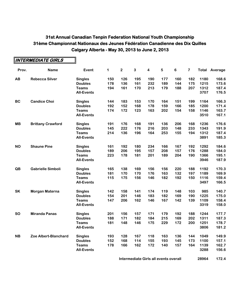**INTERMEDIATE GIRLS**

|           | INTERMEDIATE GIRLS       |                                   |     |             |              |                         |     |         |                         |              |                      |
|-----------|--------------------------|-----------------------------------|-----|-------------|--------------|-------------------------|-----|---------|-------------------------|--------------|----------------------|
| Prov.     | <b>Name</b>              | Event                             | 1   | $\mathbf 2$ | $\mathbf{3}$ | $\overline{\mathbf{4}}$ | 5   | $\bf 6$ | $\overline{\mathbf{7}}$ |              | <b>Total Average</b> |
| AB        | <b>Rebecca Silver</b>    | <b>Singles</b>                    | 150 | 126         | 195          | 190                     | 177 | 160     | 182                     | 1180         | 168.6                |
|           |                          | <b>Doubles</b>                    | 178 | 136         | 161          | 232                     | 189 | 144     | 175                     | 1215         | 173.6                |
|           |                          | <b>Teams</b>                      | 194 | 161         | 170          | 213                     | 179 | 188     | 207                     | 1312         | 187.4                |
|           |                          | <b>All-Events</b>                 |     |             |              |                         |     |         |                         | 3707         | 176.5                |
| <b>BC</b> | <b>Candice Choi</b>      | <b>Singles</b>                    | 144 | 183         | 153          | 170                     | 164 | 151     | 199                     | 1164         | 166.3                |
|           |                          | <b>Doubles</b>                    | 192 | 152         | 168          | 178                     | 159 | 166     | 185                     | 1200         | 171.4                |
|           |                          | <b>Teams</b><br><b>All-Events</b> | 174 | 172         | 123          | 163                     | 202 | 154     | 158                     | 1146<br>3510 | 163.7<br>167.1       |
| <b>MB</b> | <b>Brittany Crawford</b> | <b>Singles</b>                    | 191 | 176         | 168          | 191                     | 136 | 206     | 168                     | 1236         | 176.6                |
|           |                          | <b>Doubles</b>                    | 145 | 222         | 176          | 216                     | 203 | 148     | 233                     | 1343         | 191.9                |
|           |                          | <b>Teams</b>                      | 214 | 136         | 196          | 164                     | 253 | 155     | 194                     | 1312         | 187.4                |
|           |                          | <b>All-Events</b>                 |     |             |              |                         |     |         |                         | 3891         | 185.3                |
| <b>NO</b> | <b>Shaune Pine</b>       | <b>Singles</b>                    | 161 | 192         | 180          | 234                     | 166 | 167     | 192                     | 1292         | 184.6                |
|           |                          | <b>Doubles</b>                    | 189 | 206         | 195          | 157                     | 208 | 157     | 176                     | 1288         | 184.0                |
|           |                          | <b>Teams</b>                      | 223 | 178         | 181          | 201                     | 189 | 204     | 190                     | 1366         | 195.1                |
|           |                          | <b>All-Events</b>                 |     |             |              |                         |     |         |                         | 3946         | 187.9                |
| QB        | <b>Gabrielle Simboli</b> | <b>Singles</b>                    | 165 | 138         | 169          | 156                     | 156 | 220     | 188                     | 1192         | 170.3                |
|           |                          | <b>Doubles</b>                    | 181 | 170         | 170          | 176                     | 163 | 132     | 197                     | 1189         | 169.9                |
|           |                          | <b>Teams</b>                      | 115 | 175         | 156          | 146                     | 182 | 192     | 150                     | 1116         | 159.4                |
|           |                          | <b>All-Events</b>                 |     |             |              |                         |     |         |                         | 3497         | 166.5                |
| <b>SK</b> | Morgan Materna           | <b>Singles</b>                    | 142 | 158         | 141          | 174                     | 119 | 148     | 103                     | 985          | 140.7                |
|           |                          | <b>Doubles</b>                    | 154 | 201         | 146          | 183                     | 182 | 169     | 190                     | 1225         | 175.0                |
|           |                          | <b>Teams</b>                      | 147 | 206         | 162          | 146                     | 167 | 142     | 139                     | 1109         | 158.4                |
|           |                          | <b>All-Events</b>                 |     |             |              |                         |     |         |                         | 3319         | 158.0                |
| <b>SO</b> | <b>Miranda Panas</b>     | <b>Singles</b>                    | 201 | 156         | 157          | 171                     | 179 | 192     | 188                     | 1244         | 177.7                |
|           |                          | <b>Doubles</b>                    | 188 | 171         | 182          | 184                     | 215 | 169     | 202                     | 1311         | 187.3                |
|           |                          | <b>Teams</b>                      | 181 | 148         | 146          | 175                     | 229 | 172     | 200                     | 1251         | 178.7                |
|           |                          | <b>All-Events</b>                 |     |             |              |                         |     |         |                         | 3806         | 181.2                |
| <b>NB</b> | Zoe Albert-Blanchard     | <b>Singles</b>                    | 193 | 128         | 167          | 118                     | 163 | 136     | 144                     | 1049         | 149.9                |
|           |                          | <b>Doubles</b>                    | 152 | 168         | 114          | 155                     | 193 | 145     | 173                     | 1100         | 157.1                |
|           |                          | <b>Teams</b><br><b>All-Events</b> | 178 | 166         | 162          | 172                     | 140 | 157     | 164                     | 1139<br>3288 | 162.7<br>156.6       |
|           |                          |                                   |     |             |              |                         |     |         |                         |              |                      |

**Intermediate Girls all events overall <b>1688** 28964 172.4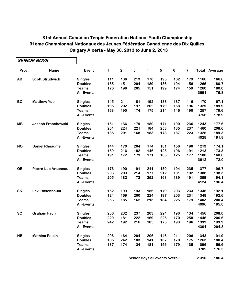|           | <i>SENIOR BOYS</i>         |                   |     |             |              |                         |     |                |     |      |                      |
|-----------|----------------------------|-------------------|-----|-------------|--------------|-------------------------|-----|----------------|-----|------|----------------------|
| Prov.     | <b>Name</b>                | Event             | 1   | $\mathbf 2$ | $\mathbf{3}$ | $\overline{\mathbf{4}}$ | 5   | $6\phantom{a}$ | 7   |      | <b>Total Average</b> |
| AB        | <b>Scott Strudwick</b>     | <b>Singles</b>    | 111 | 136         | 213          | 170                     | 195 | 162            | 179 | 1166 | 166.6                |
|           |                            | <b>Doubles</b>    | 185 | 151         | 204          | 189                     | 186 | 194            | 156 | 1265 | 180.7                |
|           |                            | <b>Teams</b>      | 176 | 196         | 205          | 151                     | 199 | 174            | 159 | 1260 | 180.0                |
|           |                            | <b>All-Events</b> |     |             |              |                         |     |                |     | 3691 | 175.8                |
| <b>BC</b> | <b>Matthew Yue</b>         | <b>Singles</b>    | 145 | 211         | 181          | 192                     | 188 | 137            | 116 | 1170 | 167.1                |
|           |                            | <b>Doubles</b>    | 195 | 202         | 197          | 202                     | 179 | 158            | 196 | 1329 | 189.9                |
|           |                            | <b>Teams</b>      | 168 | 190         | 174          | 175                     | 214 | 146            | 190 | 1257 | 179.6                |
|           |                            | <b>All-Events</b> |     |             |              |                         |     |                |     | 3756 | 178.9                |
| <b>MB</b> | Joseph Franchewski         | <b>Singles</b>    | 151 | 136         | 179          | 180                     | 171 | 190            | 236 | 1243 | 177.6                |
|           |                            | <b>Doubles</b>    | 201 | 224         | 221          | 184                     | 258 | 135            | 237 | 1460 | 208.6                |
|           |                            | <b>Teams</b>      | 185 | 201         | 168          | 183                     | 178 | 187            | 223 | 1325 | 189.3                |
|           |                            | <b>All-Events</b> |     |             |              |                         |     |                |     | 4028 | 191.8                |
| <b>NO</b> | <b>Daniel Rheaume</b>      | <b>Singles</b>    | 144 | 170         | 204          | 174                     | 181 | 156            | 190 | 1219 | 174.1                |
|           |                            | <b>Doubles</b>    | 159 | 216         | 182          | 146                     | 123 | 196            | 191 | 1213 | 173.3                |
|           |                            | <b>Teams</b>      | 191 | 172         | 179          | 171                     | 165 | 125            | 177 | 1180 | 168.6                |
|           |                            | <b>All-Events</b> |     |             |              |                         |     |                |     | 3612 | 172.0                |
| QB        | <b>Pierre-Luc Arseneau</b> | <b>Singles</b>    | 176 | 190         | 191          | 211                     | 180 | 194            | 235 | 1377 | 196.7                |
|           |                            | <b>Doubles</b>    | 203 | 209         | 214          | 177                     | 212 | 181            | 192 | 1388 | 198.3                |
|           |                            | <b>Teams</b>      | 205 | 182         | 172          | 252                     | 168 | 189            | 191 | 1359 | 194.1                |
|           |                            | <b>All-Events</b> |     |             |              |                         |     |                |     | 4124 | 196.4                |
| <b>SK</b> | Levi Rosenbaum             | <b>Singles</b>    | 152 | 199         | 193          | 186                     | 179 | 203            | 233 | 1345 | 192.1                |
|           |                            | <b>Doubles</b>    | 124 | 169         | 200          | 224                     | 197 | 203            | 231 | 1348 | 192.6                |
|           |                            | <b>Teams</b>      | 253 | 185         | 162          | 215                     | 184 | 225            | 179 | 1403 | 200.4                |
|           |                            | <b>All-Events</b> |     |             |              |                         |     |                |     | 4096 | 195.0                |
| <b>SO</b> | <b>Graham Fach</b>         | <b>Singles</b>    | 236 | 232         | 237          | 203                     | 224 | 190            | 134 | 1456 | 208.0                |
|           |                            | <b>Doubles</b>    | 220 | 181         | 222          | 169                     | 226 | 170            | 258 | 1446 | 206.6                |
|           |                            | <b>Teams</b>      | 242 | 192         | 216          | 185                     | 175 | 193            | 196 | 1399 | 199.9                |
|           |                            | <b>All-Events</b> |     |             |              |                         |     |                |     | 4301 | 204.8                |
| <b>NB</b> | <b>Mathieu Paulin</b>      | <b>Singles</b>    | 206 | 164         | 204          | 206                     | 146 | 211            | 206 | 1343 | 191.9                |
|           |                            | <b>Doubles</b>    | 185 | 242         | 183          | 141                     | 167 | 170            | 175 | 1263 | 180.4                |
|           |                            | <b>Teams</b>      | 137 | 174         | 134          | 181                     | 156 | 179            | 135 | 1096 | 156.6                |
|           |                            | <b>All-Events</b> |     |             |              |                         |     |                |     | 3702 | 176.3                |

**Senior Boys all events overall 168 31310 186.4**